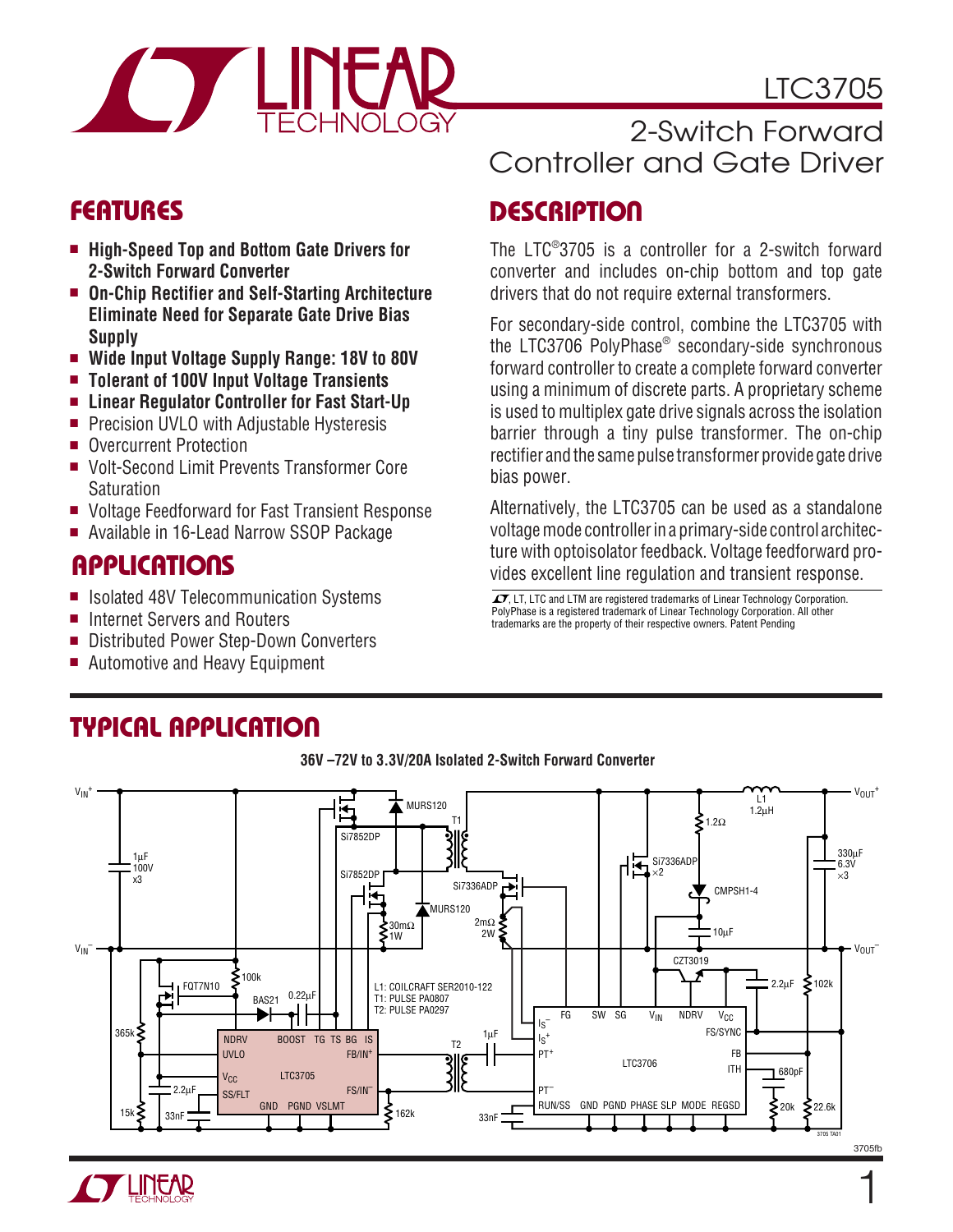# LTC3705



- **High-Speed Top and Bottom Gate Drivers for 2-Switch Forward Converter**
- **On-Chip Rectifier and Self-Starting Architecture Eliminate Need for Separate Gate Drive Bias Supply**
- **Wide Input Voltage Supply Range: 18V to 80V**
- **Tolerant of 100V Input Voltage Transients**
- Linear Regulator Controller for Fast Start-Up
- Precision UVLO with Adjustable Hysteresis
- Overcurrent Protection
- Volt-Second Limit Prevents Transformer Core **Saturation**
- Voltage Feedforward for Fast Transient Response
- Available in 16-Lead Narrow SSOP Package

## **APPLICATIONS**

- Isolated 48V Telecommunication Systems
- Internet Servers and Routers
- Distributed Power Step-Down Converters
- Automotive and Heavy Equipment

## 2-Switch Forward Controller and Gate Driver

## **FEATURES DESCRIPTIO U**

The LTC® 3705 is a controller for a 2-switch forward converter and includes on-chip bottom and top gate drivers that do not require external transformers.

For secondary-side control, combine the LTC3705 with the LTC3706 PolyPhase® secondary-side synchronous forward controller to create a complete forward converter using a minimum of discrete parts. A proprietary scheme is used to multiplex gate drive signals across the isolation barrier through a tiny pulse transformer. The on-chip rectifier and the same pulse transformer provide gate drive bias power.

Alternatively, the LTC3705 can be used as a standalone voltage mode controller in a primary-side control architecture with optoisolator feedback. Voltage feedforward provides excellent line regulation and transient response.

 $\sqrt{J}$ , LT, LTC and LTM are registered trademarks of Linear Technology Corporation. PolyPhase is a registered trademark of Linear Technology Corporation. All other trademarks are the property of their respective owners. Patent Pending



# **TYPICAL APPLICATIO U**

#### **36V –72V to 3.3V/20A Isolated 2-Switch Forward Converter**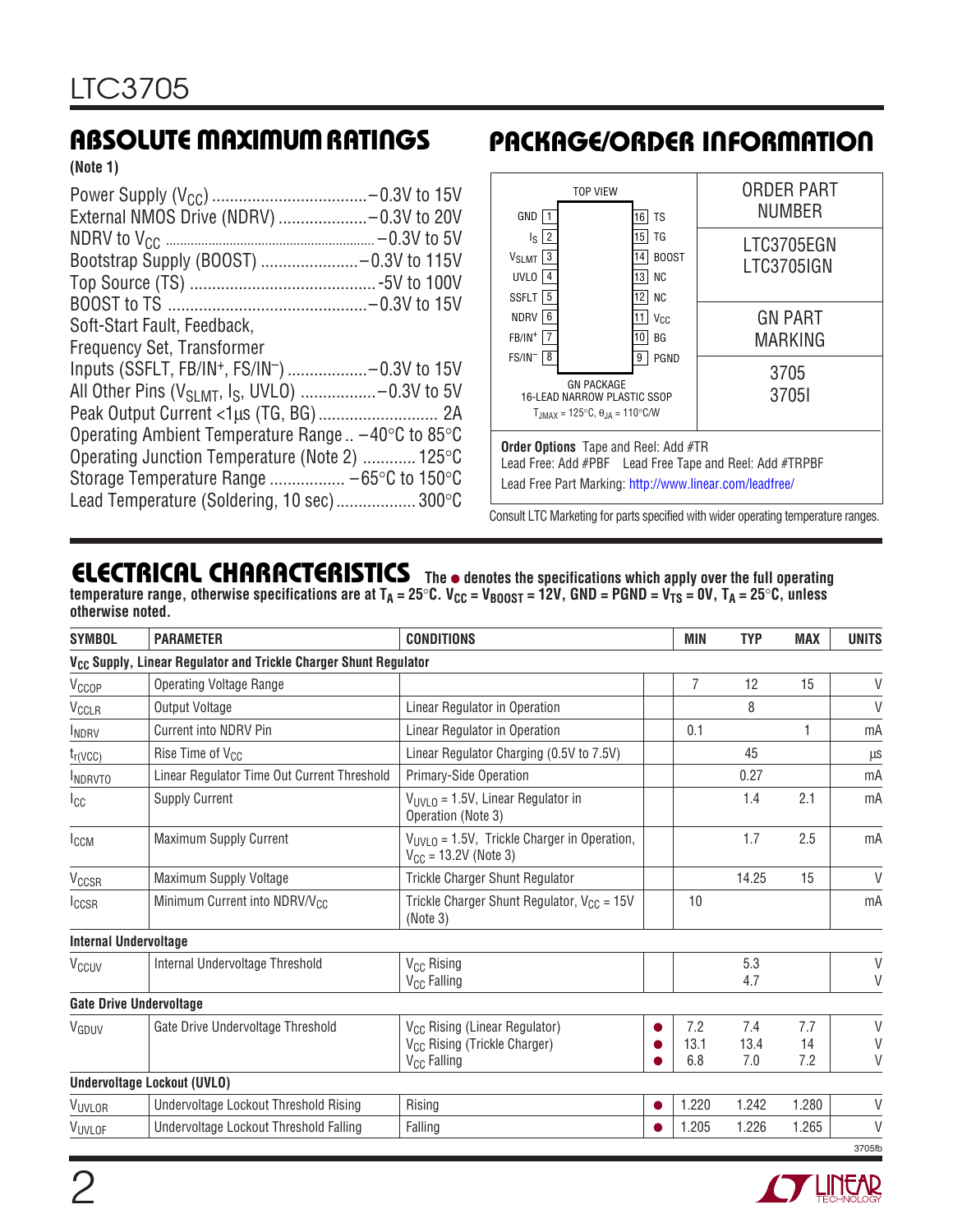**(Note 1)**

| External NMOS Drive (NDRV) -0.3V to 20V                                   |  |
|---------------------------------------------------------------------------|--|
|                                                                           |  |
| Bootstrap Supply (BOOST) -0.3V to 115V                                    |  |
|                                                                           |  |
|                                                                           |  |
| Soft-Start Fault, Feedback,                                               |  |
| <b>Frequency Set, Transformer</b>                                         |  |
| Inputs (SSFLT, FB/IN <sup>+</sup> , FS/IN <sup>-</sup> ) -0.3V to 15V     |  |
| All Other Pins ( $V_{SI, MT}$ , I <sub>S</sub> , UVLO) -0.3V to 5V        |  |
|                                                                           |  |
| Operating Ambient Temperature Range $=$ -40 $\degree$ C to 85 $\degree$ C |  |
| Operating Junction Temperature (Note 2)  125°C                            |  |
| Storage Temperature Range $-65^{\circ}$ C to 150 $^{\circ}$ C             |  |
| Lead Temperature (Soldering, 10 sec) 300°C                                |  |

## **ABSOLUTE MAXIMUM RATINGS PACKAGE/ORDER INFORMATION**



Consult LTC Marketing for parts specified with wider operating temperature ranges.

## **ELECTRICAL CHARACTERISTICS The** ● **denotes the specifications which apply over the full operating**

temperature range, otherwise specifications are at T<sub>A</sub> = 25°C. V<sub>CC</sub> = V<sub>BOOST</sub> = 12V, GND = PGND = V<sub>TS</sub> = 0V, T<sub>A</sub> = 25°C, unless **otherwise noted.**

| <b>SYMBOL</b>                | <b>PARAMETER</b>                                                             | <b>CONDITIONS</b>                                                                                                |           | MIN                | <b>TYP</b>         | <b>MAX</b>       | <b>UNITS</b>     |
|------------------------------|------------------------------------------------------------------------------|------------------------------------------------------------------------------------------------------------------|-----------|--------------------|--------------------|------------------|------------------|
|                              | V <sub>CC</sub> Supply, Linear Regulator and Trickle Charger Shunt Regulator |                                                                                                                  |           |                    |                    |                  |                  |
| V <sub>CCOP</sub>            | <b>Operating Voltage Range</b>                                               |                                                                                                                  |           | $\overline{7}$     | 12                 | 15               | V                |
| V <sub>CCLR</sub>            | Output Voltage                                                               | Linear Regulator in Operation                                                                                    |           |                    | 8                  |                  | $\vee$           |
| <b>INDRV</b>                 | Current into NDRV Pin                                                        | Linear Regulator in Operation                                                                                    |           | 0.1                |                    | 1                | mA               |
| $t_{r(VCC)}$                 | Rise Time of V <sub>CC</sub>                                                 | Linear Regulator Charging (0.5V to 7.5V)                                                                         |           |                    | 45                 |                  | μS               |
| <b>INDRVTO</b>               | Linear Regulator Time Out Current Threshold                                  | Primary-Side Operation                                                                                           |           |                    | 0.27               |                  | mA               |
| $I_{\rm CC}$                 | <b>Supply Current</b>                                                        | $V_{UVI,0}$ = 1.5V, Linear Regulator in<br>Operation (Note 3)                                                    |           |                    | 1.4                | 2.1              | mA               |
| I <sub>CCM</sub>             | Maximum Supply Current                                                       | $V_{UVLO}$ = 1.5V, Trickle Charger in Operation,<br>$V_{CC} = 13.2V$ (Note 3)                                    |           |                    | 1.7                | 2.5              | mA               |
| V <sub>CCSR</sub>            | Maximum Supply Voltage                                                       | <b>Trickle Charger Shunt Regulator</b>                                                                           |           |                    | 14.25              | 15               | $\vee$           |
| <b>ICCSR</b>                 | Minimum Current into NDRV/V <sub>CC</sub>                                    | Trickle Charger Shunt Regulator, $V_{CC} = 15V$<br>(Note 3)                                                      |           | 10                 |                    |                  | mA               |
| <b>Internal Undervoltage</b> |                                                                              |                                                                                                                  |           |                    |                    |                  |                  |
| V <sub>CCUV</sub>            | Internal Undervoltage Threshold                                              | V <sub>CC</sub> Rising<br>V <sub>CC</sub> Falling                                                                |           |                    | 5.3<br>4.7         |                  | $\vee$<br>V      |
|                              | <b>Gate Drive Undervoltage</b>                                               |                                                                                                                  |           |                    |                    |                  |                  |
| VGDUV                        | Gate Drive Undervoltage Threshold                                            | V <sub>CC</sub> Rising (Linear Regulator)<br>V <sub>CC</sub> Rising (Trickle Charger)<br>V <sub>CC</sub> Falling |           | 7.2<br>13.1<br>6.8 | 7.4<br>13.4<br>7.0 | 7.7<br>14<br>7.2 | $\vee$<br>V<br>V |
|                              | <b>Undervoltage Lockout (UVLO)</b>                                           |                                                                                                                  |           |                    |                    |                  |                  |
| VUVLOR                       | Undervoltage Lockout Threshold Rising                                        | Rising                                                                                                           | $\bullet$ | 1.220              | 1.242              | 1.280            | V                |
| VUVLOF                       | Undervoltage Lockout Threshold Falling                                       | Falling                                                                                                          |           | 1.205              | 1.226              | 1.265            | $\vee$           |
|                              |                                                                              |                                                                                                                  |           |                    |                    |                  | 3705fb           |

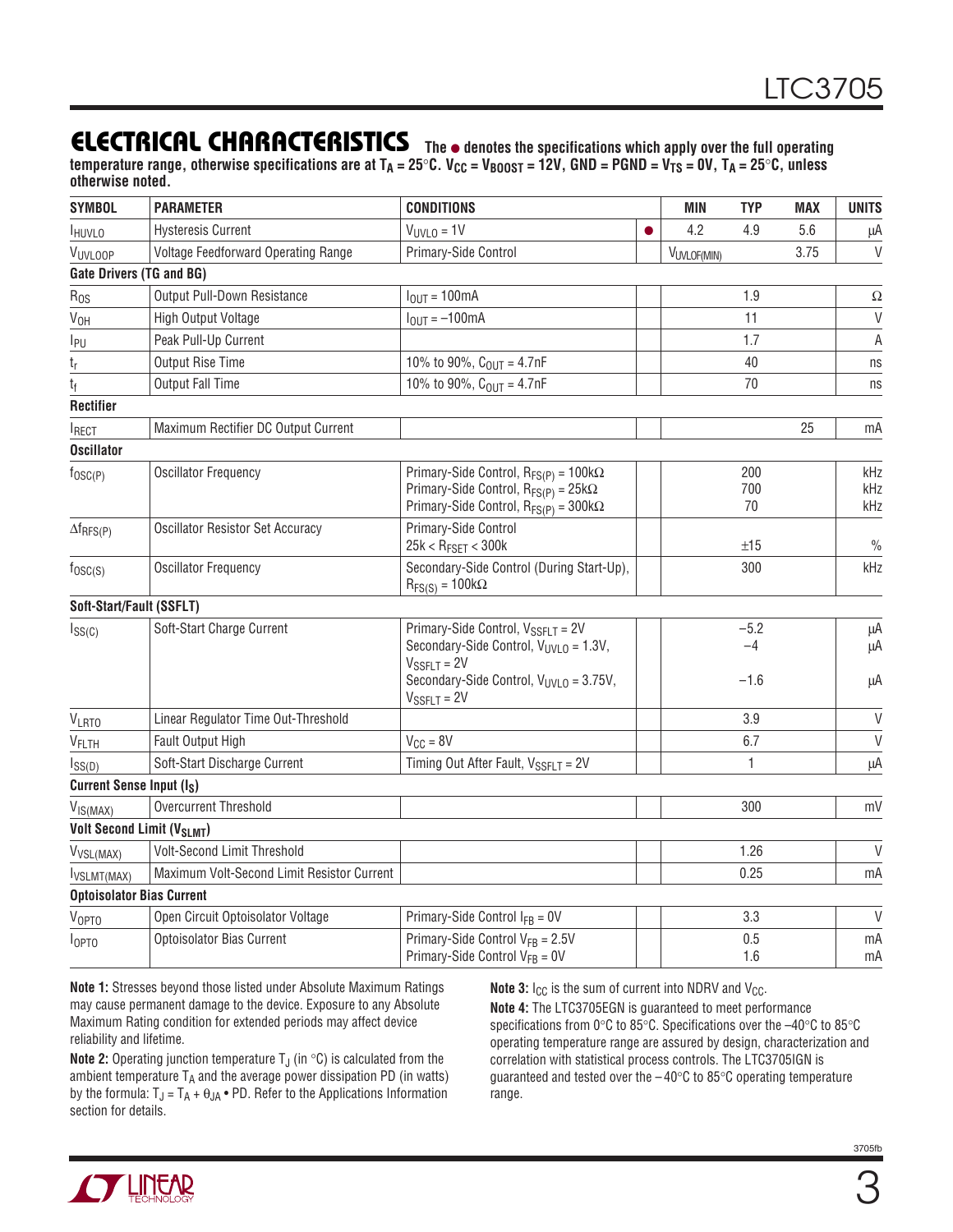## **ELECTRICAL CHARACTERISTICS**

**The** ● **denotes the specifications which apply over the full operating** temperature range, otherwise specifications are at T<sub>A</sub> = 25°C. V<sub>CC</sub> = V<sub>BOOST</sub> = 12V, GND = PGND = V<sub>TS</sub> = 0V, T<sub>A</sub> = 25°C, unless **otherwise noted.**

| <b>SYMBOL</b>                         | <b>PARAMETER</b>                           | <b>CONDITIONS</b>                                                                                                                                 | MIN         | <b>TYP</b>       | <b>MAX</b> | <b>UNITS</b>      |
|---------------------------------------|--------------------------------------------|---------------------------------------------------------------------------------------------------------------------------------------------------|-------------|------------------|------------|-------------------|
| <b>HUVLO</b>                          | <b>Hysteresis Current</b>                  | $V_{UVLO} = 1V$                                                                                                                                   | 4.2         | 4.9              | 5.6        | μA                |
| VUVLOOP                               | Voltage Feedforward Operating Range        | Primary-Side Control                                                                                                                              | VUVLOF(MIN) |                  | 3.75       | $\mathsf{V}$      |
|                                       | <b>Gate Drivers (TG and BG)</b>            |                                                                                                                                                   |             |                  |            |                   |
| $R_{OS}$                              | Output Pull-Down Resistance                | $I_{\text{OUT}} = 100 \text{mA}$                                                                                                                  |             | 1.9              |            | Ω                 |
| V <sub>OH</sub>                       | High Output Voltage                        | $I_{OIII} = -100mA$                                                                                                                               |             | 11               |            | $\overline{V}$    |
| I <sub>PU</sub>                       | Peak Pull-Up Current                       |                                                                                                                                                   |             | 1.7              |            | A                 |
| $t_r$                                 | Output Rise Time                           | 10% to 90%, $C_{OUT} = 4.7nF$                                                                                                                     |             | 40               |            | ns                |
| $t_{\rm f}$                           | <b>Output Fall Time</b>                    | 10% to 90%, $C_{OUT} = 4.7nF$                                                                                                                     |             | 70               |            | ns                |
| <b>Rectifier</b>                      |                                            |                                                                                                                                                   |             |                  |            |                   |
| <b>IRECT</b>                          | Maximum Rectifier DC Output Current        |                                                                                                                                                   |             |                  | 25         | mA                |
| <b>Oscillator</b>                     |                                            |                                                                                                                                                   |             |                  |            |                   |
| $f_{\text{OSC}(P)}$                   | <b>Oscillator Frequency</b>                | Primary-Side Control, $R_{FS(P)} = 100k\Omega$<br>Primary-Side Control, $R_{FS(P)} = 25k\Omega$<br>Primary-Side Control, $R_{FS(P)} = 300k\Omega$ |             | 200<br>700<br>70 |            | kHz<br>kHz<br>kHz |
| $\Delta f_{RFS(P)}$                   | <b>Oscillator Resistor Set Accuracy</b>    | Primary-Side Control<br>$25k < R_{FSET} < 300k$                                                                                                   |             | ±15              |            | $\frac{0}{0}$     |
| $f_{\text{OSC}(S)}$                   | <b>Oscillator Frequency</b>                | Secondary-Side Control (During Start-Up),<br>$R_{FS(S)} = 100k\Omega$                                                                             |             | 300              |            | kHz               |
| Soft-Start/Fault (SSFLT)              |                                            |                                                                                                                                                   |             |                  |            |                   |
| $I_{SS(C)}$                           | Soft-Start Charge Current                  | Primary-Side Control, V <sub>SSFLT</sub> = 2V                                                                                                     |             | $-5.2$           |            | μA                |
|                                       |                                            | Secondary-Side Control, V <sub>UVLO</sub> = 1.3V,<br>$V_{\text{SSFLT}} = 2V$<br>Secondary-Side Control, $V_{UVLO} = 3.75V$ ,<br>$V_{SSFLT} = 2V$  |             | $-4$<br>$-1.6$   |            | μA<br>μA          |
| <b>VLRTO</b>                          | Linear Regulator Time Out-Threshold        |                                                                                                                                                   |             | 3.9              |            | $\vee$            |
| VFLTH                                 | Fault Output High                          | $V_{\text{CC}} = 8V$                                                                                                                              |             | 6.7              |            | $\vee$            |
| $I_{SS(D)}$                           | Soft-Start Discharge Current               | Timing Out After Fault, $V_{SSETT} = 2V$                                                                                                          |             | 1                |            | μA                |
| Current Sense Input (I <sub>S</sub> ) |                                            |                                                                                                                                                   |             |                  |            |                   |
| V <sub>IS(MAX)</sub>                  | Overcurrent Threshold                      |                                                                                                                                                   |             | 300              |            | mV                |
|                                       | <b>Volt Second Limit (VSLMT)</b>           |                                                                                                                                                   |             |                  |            |                   |
| V <sub>VSL(MAX)</sub>                 | <b>Volt-Second Limit Threshold</b>         |                                                                                                                                                   |             | 1.26             |            | $\vee$            |
| <b>I</b> VSLMT(MAX)                   | Maximum Volt-Second Limit Resistor Current |                                                                                                                                                   |             | 0.25             |            | mA                |
|                                       | <b>Optoisolator Bias Current</b>           |                                                                                                                                                   |             |                  |            |                   |
| $V_{\text{OPTO}}$                     | Open Circuit Optoisolator Voltage          | Primary-Side Control $I_{FB} = 0V$                                                                                                                |             | 3.3              |            | $\mathsf{V}$      |
| I <sub>OPT0</sub>                     | Optoisolator Bias Current                  | Primary-Side Control $V_{FB} = 2.5V$<br>Primary-Side Control $V_{FB} = 0V$                                                                        |             | 0.5<br>1.6       |            | mA<br>mA          |

**Note 1:** Stresses beyond those listed under Absolute Maximum Ratings may cause permanent damage to the device. Exposure to any Absolute Maximum Rating condition for extended periods may affect device reliability and lifetime.

**Note 2:** Operating junction temperature  $T_J$  (in  $\textdegree C$ ) is calculated from the ambient temperature  $T_A$  and the average power dissipation PD (in watts) by the formula:  $T_J = T_A + \theta_{JA} \cdot PD$ . Refer to the Applications Information section for details.

**Note 3:**  $I_{CC}$  is the sum of current into NDRV and V<sub>CC</sub>.

**Note 4:** The LTC3705EGN is guaranteed to meet performance specifications from 0°C to 85°C. Specifications over the -40°C to 85°C operating temperature range are assured by design, characterization and correlation with statistical process controls. The LTC3705IGN is guaranteed and tested over the  $-40^{\circ}$ C to 85 $^{\circ}$ C operating temperature range.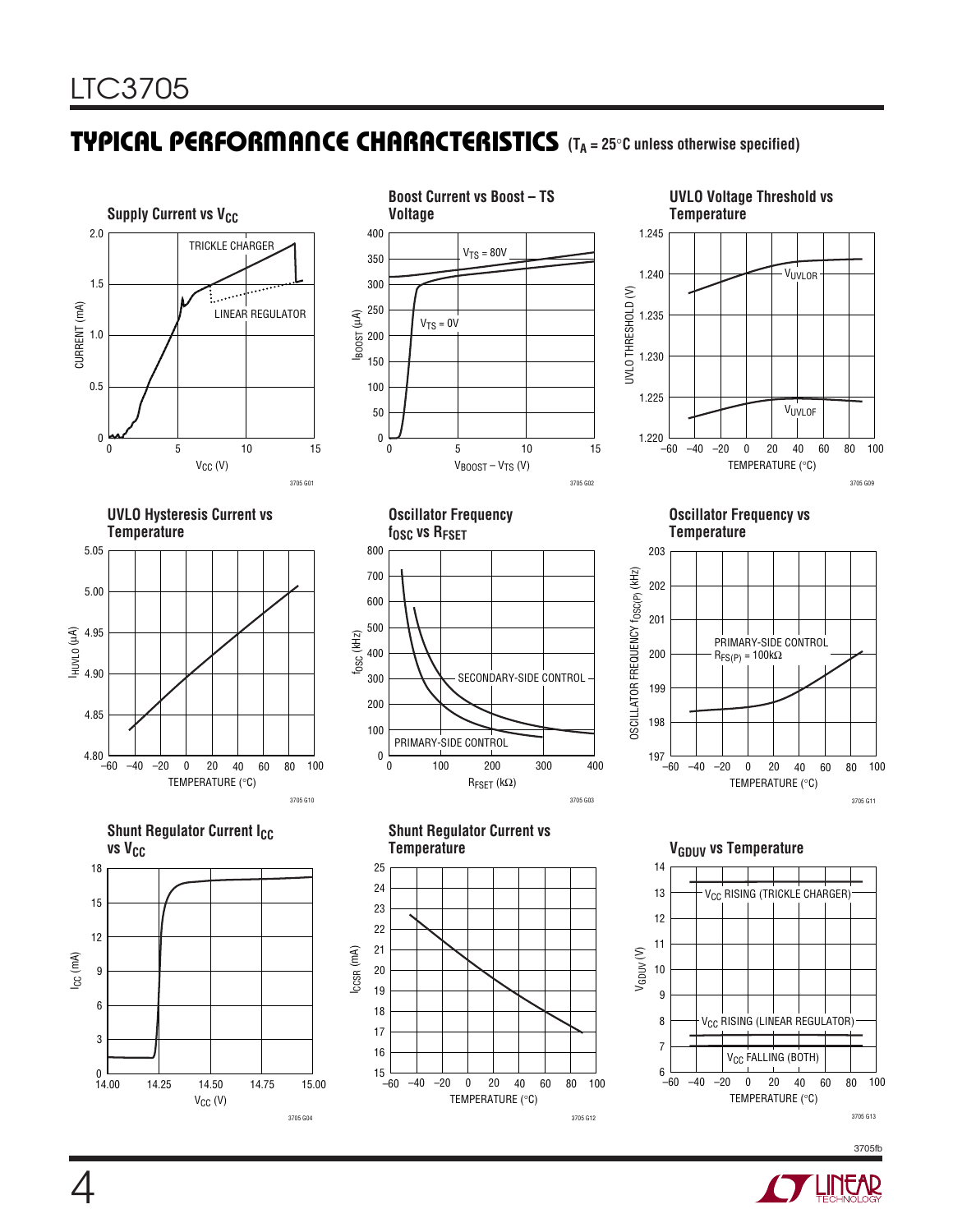## **TYPICAL PERFORMANCE CHARACTERISTICS** (T<sub>A</sub> = 25°C unless otherwise specified)



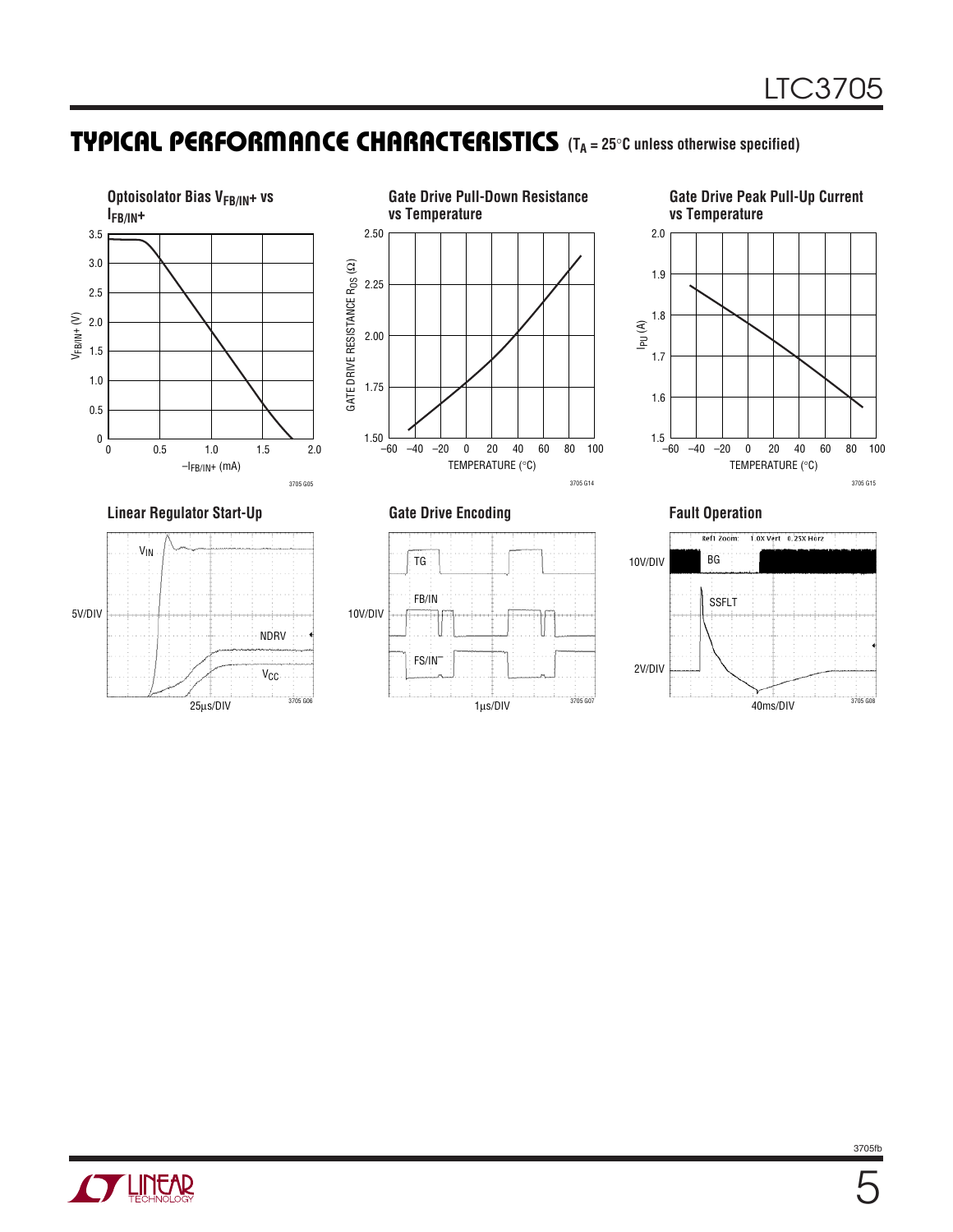## **TYPICAL PERFORMANCE CHARACTERISTICS** (TA = 25°C unless otherwise specified)







#### Linear Regulator Start-Up **Gate Drive Encoding Community Constructs** Fault Operation







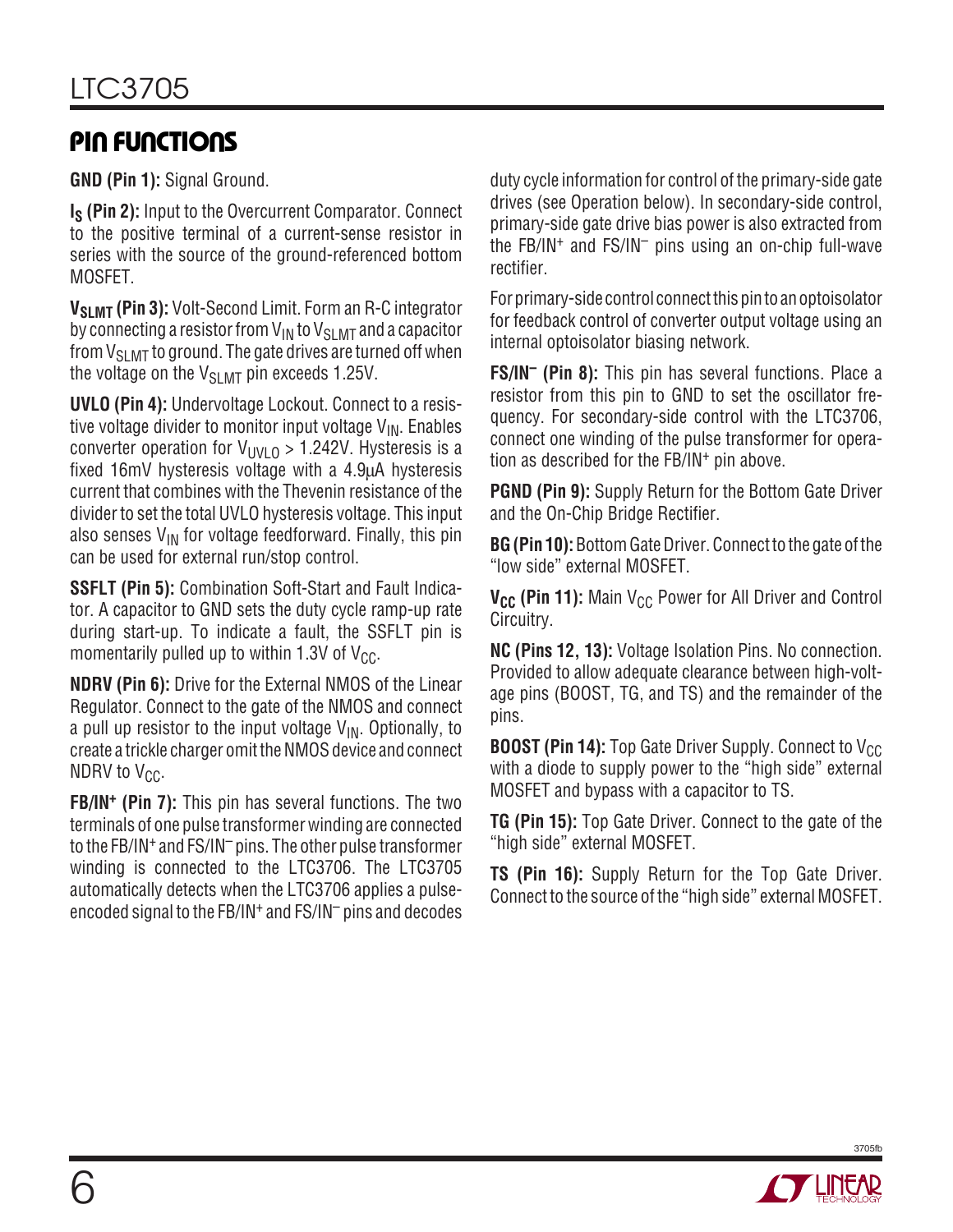## **PIN FUNCTIONS**

**GND (Pin 1):** Signal Ground.

**I<sub>S</sub>** (Pin 2): Input to the Overcurrent Comparator. Connect to the positive terminal of a current-sense resistor in series with the source of the ground-referenced bottom MOSFET.

**V<sub>SLMT</sub>** (Pin 3): Volt-Second Limit. Form an R-C integrator by connecting a resistor from  $V_{IN}$  to  $V_{SLMT}$  and a capacitor from  $V_{SI, MIT}$  to ground. The gate drives are turned off when the voltage on the  $V_{SI,MT}$  pin exceeds 1.25V.

**UVLO (Pin 4):** Undervoltage Lockout. Connect to a resistive voltage divider to monitor input voltage  $V_{IN}$ . Enables converter operation for  $V_{UVLO} > 1.242V$ . Hysteresis is a fixed 16mV hysteresis voltage with a 4.9µA hysteresis current that combines with the Thevenin resistance of the divider to set the total UVLO hysteresis voltage. This input also senses  $V_{IN}$  for voltage feedforward. Finally, this pin can be used for external run/stop control.

**SSFLT (Pin 5):** Combination Soft-Start and Fault Indicator. A capacitor to GND sets the duty cycle ramp-up rate during start-up. To indicate a fault, the SSFLT pin is momentarily pulled up to within 1.3V of  $V_{CC}$ .

**NDRV (Pin 6):** Drive for the External NMOS of the Linear Regulator. Connect to the gate of the NMOS and connect a pull up resistor to the input voltage  $V_{\text{IN}}$ . Optionally, to create a trickle charger omit the NMOS device and connect  $NDRV$  to  $V_{CC}$ .

**FB/IN+ (Pin 7):** This pin has several functions. The two terminals of one pulse transformer winding are connected to the FB/IN+ and FS/IN– pins. The other pulse transformer winding is connected to the LTC3706. The LTC3705 automatically detects when the LTC3706 applies a pulseencoded signal to the FB/IN+ and FS/IN– pins and decodes duty cycle information for control of the primary-side gate drives (see Operation below). In secondary-side control, primary-side gate drive bias power is also extracted from the FB/IN+ and FS/IN– pins using an on-chip full-wave rectifier.

For primary-side control connect this pin to an optoisolator for feedback control of converter output voltage using an internal optoisolator biasing network.

**FS/IN– (Pin 8):** This pin has several functions. Place a resistor from this pin to GND to set the oscillator frequency. For secondary-side control with the LTC3706, connect one winding of the pulse transformer for operation as described for the FB/IN+ pin above.

**PGND (Pin 9):** Supply Return for the Bottom Gate Driver and the On-Chip Bridge Rectifier.

**BG (Pin 10):** Bottom Gate Driver. Connect to the gate of the "low side" external MOSFET.

V<sub>CC</sub> (Pin 11): Main V<sub>CC</sub> Power for All Driver and Control Circuitry.

**NC (Pins 12, 13):** Voltage Isolation Pins. No connection. Provided to allow adequate clearance between high-voltage pins (BOOST, TG, and TS) and the remainder of the pins.

**BOOST (Pin 14):** Top Gate Driver Supply. Connect to V<sub>CC</sub> with a diode to supply power to the "high side" external MOSFET and bypass with a capacitor to TS.

**TG (Pin 15):** Top Gate Driver. Connect to the gate of the "high side" external MOSFET.

**TS (Pin 16):** Supply Return for the Top Gate Driver. Connect to the source of the "high side" external MOSFET.

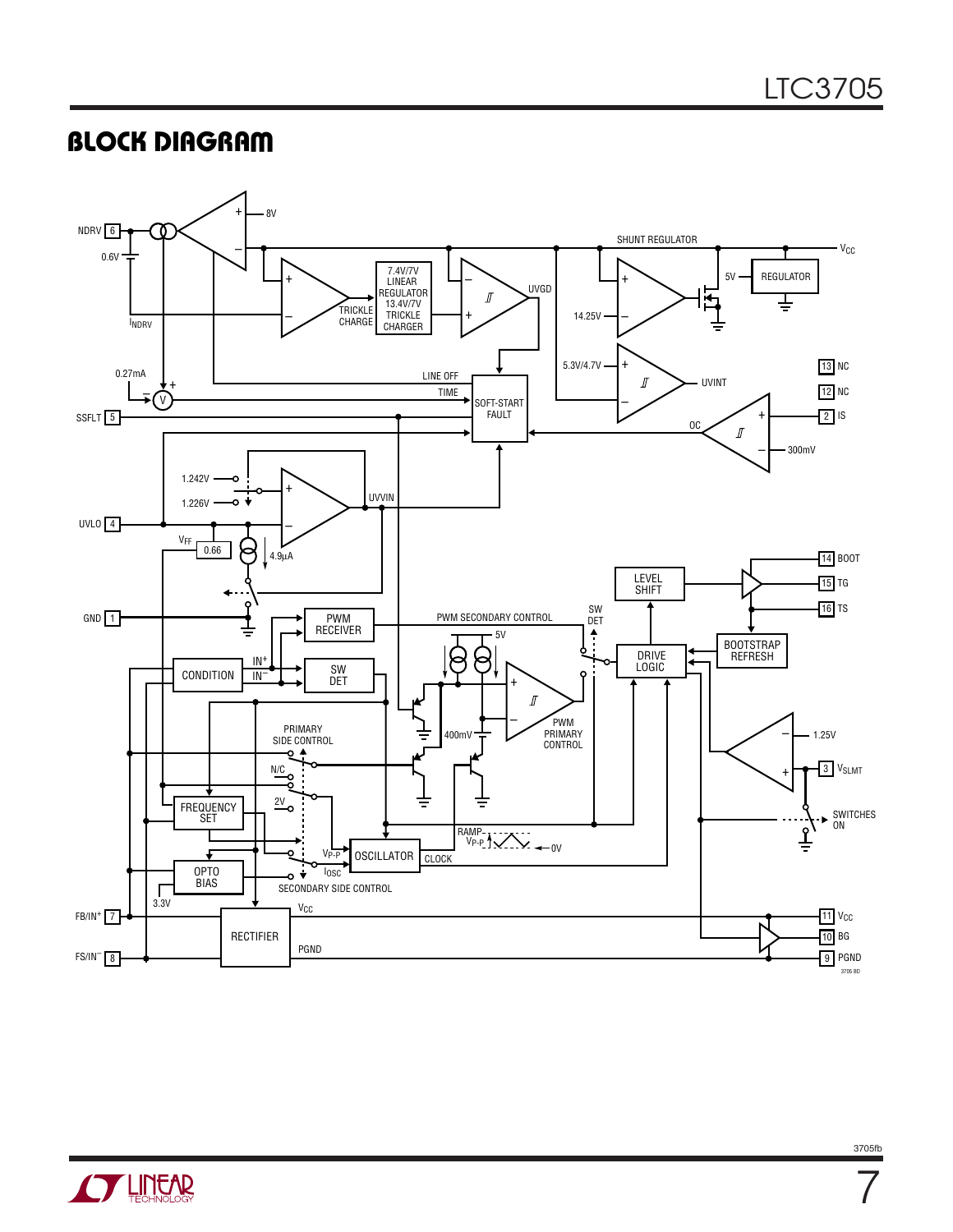## **BLOCK DIAGRAM**



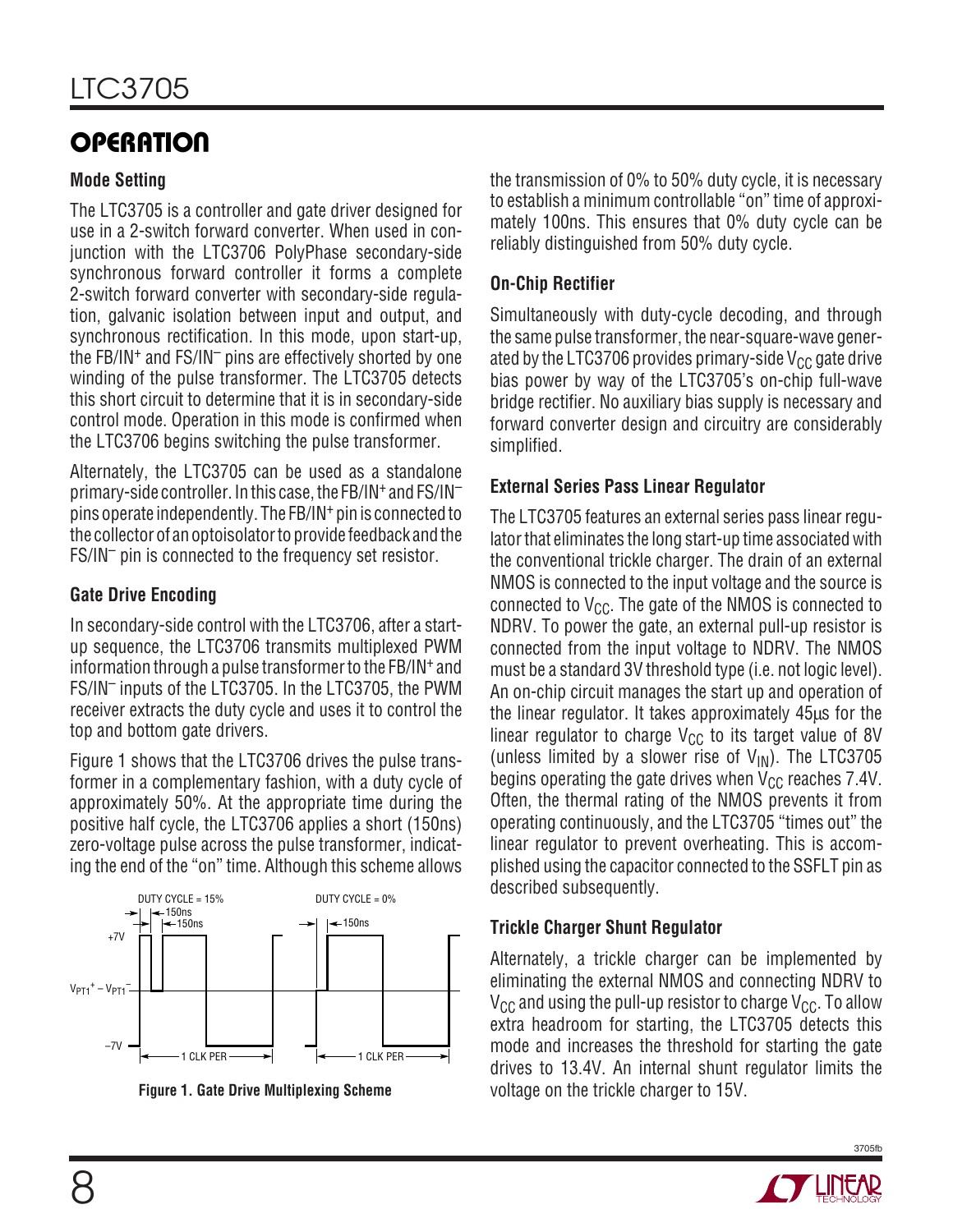# **OPERATION**

### **Mode Setting**

The LTC3705 is a controller and gate driver designed for use in a 2-switch forward converter. When used in conjunction with the LTC3706 PolyPhase secondary-side synchronous forward controller it forms a complete 2-switch forward converter with secondary-side regulation, galvanic isolation between input and output, and synchronous rectification. In this mode, upon start-up, the FB/IN+ and FS/IN– pins are effectively shorted by one winding of the pulse transformer. The LTC3705 detects this short circuit to determine that it is in secondary-side control mode. Operation in this mode is confirmed when the LTC3706 begins switching the pulse transformer.

Alternately, the LTC3705 can be used as a standalone primary-side controller. In this case, the FB/IN+ and FS/IN– pins operate independently. The FB/IN+ pin is connected to the collector of an optoisolator to provide feedback and the FS/IN– pin is connected to the frequency set resistor.

### **Gate Drive Encoding**

In secondary-side control with the LTC3706, after a startup sequence, the LTC3706 transmits multiplexed PWM information through a pulse transformer to the FB/IN+ and FS/IN– inputs of the LTC3705. In the LTC3705, the PWM receiver extracts the duty cycle and uses it to control the top and bottom gate drivers.

Figure 1 shows that the LTC3706 drives the pulse transformer in a complementary fashion, with a duty cycle of approximately 50%. At the appropriate time during the positive half cycle, the LTC3706 applies a short (150ns) zero-voltage pulse across the pulse transformer, indicating the end of the "on" time. Although this scheme allows





the transmission of 0% to 50% duty cycle, it is necessary to establish a minimum controllable "on" time of approximately 100ns. This ensures that 0% duty cycle can be reliably distinguished from 50% duty cycle.

### **On-Chip Rectifier**

Simultaneously with duty-cycle decoding, and through the same pulse transformer, the near-square-wave generated by the LTC3706 provides primary-side  $V_{CC}$  gate drive bias power by way of the LTC3705's on-chip full-wave bridge rectifier. No auxiliary bias supply is necessary and forward converter design and circuitry are considerably simplified.

#### **External Series Pass Linear Regulator**

The LTC3705 features an external series pass linear regulator that eliminates the long start-up time associated with the conventional trickle charger. The drain of an external NMOS is connected to the input voltage and the source is connected to  $V_{CC}$ . The gate of the NMOS is connected to NDRV. To power the gate, an external pull-up resistor is connected from the input voltage to NDRV. The NMOS must be a standard 3V threshold type (i.e. not logic level). An on-chip circuit manages the start up and operation of the linear regulator. It takes approximately 45µs for the linear regulator to charge  $V_{CC}$  to its target value of 8V (unless limited by a slower rise of  $V_{IN}$ ). The LTC3705 begins operating the gate drives when  $V_{CC}$  reaches 7.4V. Often, the thermal rating of the NMOS prevents it from operating continuously, and the LTC3705 "times out" the linear regulator to prevent overheating. This is accomplished using the capacitor connected to the SSFLT pin as described subsequently.

#### **Trickle Charger Shunt Regulator**

Alternately, a trickle charger can be implemented by eliminating the external NMOS and connecting NDRV to  $V_{CC}$  and using the pull-up resistor to charge  $V_{CC}$ . To allow extra headroom for starting, the LTC3705 detects this mode and increases the threshold for starting the gate drives to 13.4V. An internal shunt regulator limits the voltage on the trickle charger to 15V.

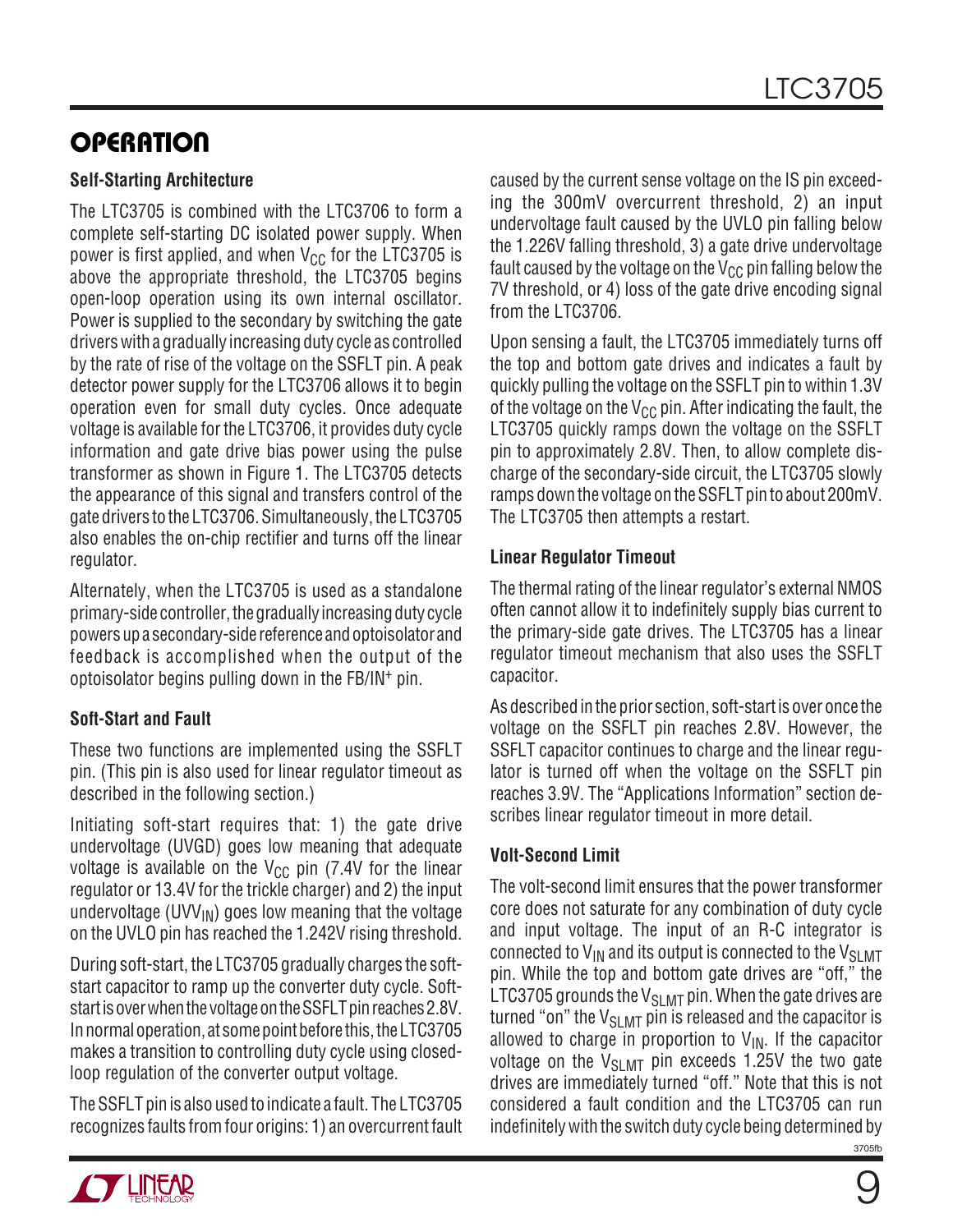## **OPERATION**

#### **Self-Starting Architecture**

The LTC3705 is combined with the LTC3706 to form a complete self-starting DC isolated power supply. When power is first applied, and when  $V_{CC}$  for the LTC3705 is above the appropriate threshold, the LTC3705 begins open-loop operation using its own internal oscillator. Power is supplied to the secondary by switching the gate drivers with a gradually increasing duty cycle as controlled by the rate of rise of the voltage on the SSFLT pin. A peak detector power supply for the LTC3706 allows it to begin operation even for small duty cycles. Once adequate voltage is available for the LTC3706, it provides duty cycle information and gate drive bias power using the pulse transformer as shown in Figure 1. The LTC3705 detects the appearance of this signal and transfers control of the gate drivers to the LTC3706. Simultaneously, the LTC3705 also enables the on-chip rectifier and turns off the linear regulator.

Alternately, when the LTC3705 is used as a standalone primary-side controller, the gradually increasing duty cycle powers up a secondary-side reference and optoisolator and feedback is accomplished when the output of the optoisolator begins pulling down in the FB/IN+ pin.

## **Soft-Start and Fault**

These two functions are implemented using the SSFLT pin. (This pin is also used for linear regulator timeout as described in the following section.)

Initiating soft-start requires that: 1) the gate drive undervoltage (UVGD) goes low meaning that adequate voltage is available on the  $V_{CC}$  pin (7.4V for the linear regulator or 13.4V for the trickle charger) and 2) the input undervoltage (UVV $_{\text{IN}}$ ) goes low meaning that the voltage on the UVLO pin has reached the 1.242V rising threshold.

During soft-start, the LTC3705 gradually charges the softstart capacitor to ramp up the converter duty cycle. Softstart is over when the voltage on the SSFLT pin reaches 2.8V. In normal operation, at some point before this, the LTC3705 makes a transition to controlling duty cycle using closedloop regulation of the converter output voltage.

The SSFLT pin is also used to indicate a fault. The LTC3705 recognizes faults from four origins: 1) an overcurrent fault



Upon sensing a fault, the LTC3705 immediately turns off the top and bottom gate drives and indicates a fault by quickly pulling the voltage on the SSFLT pin to within 1.3V of the voltage on the  $V_{CC}$  pin. After indicating the fault, the LTC3705 quickly ramps down the voltage on the SSFLT pin to approximately 2.8V. Then, to allow complete discharge of the secondary-side circuit, the LTC3705 slowly ramps down the voltage on the SSFLT pin to about 200mV. The LTC3705 then attempts a restart.

## **Linear Regulator Timeout**

The thermal rating of the linear regulator's external NMOS often cannot allow it to indefinitely supply bias current to the primary-side gate drives. The LTC3705 has a linear regulator timeout mechanism that also uses the SSFLT capacitor.

As described in the prior section, soft-start is over once the voltage on the SSFLT pin reaches 2.8V. However, the SSFLT capacitor continues to charge and the linear regulator is turned off when the voltage on the SSFLT pin reaches 3.9V. The "Applications Information" section describes linear regulator timeout in more detail.

## **Volt-Second Limit**

3705fb The volt-second limit ensures that the power transformer core does not saturate for any combination of duty cycle and input voltage. The input of an R-C integrator is connected to  $V_{IN}$  and its output is connected to the  $V_{SI, MIT}$ pin. While the top and bottom gate drives are "off," the LTC3705 grounds the  $V_{SI,MT}$  pin. When the gate drives are turned "on" the  $V_{SI, MIT}$  pin is released and the capacitor is allowed to charge in proportion to  $V_{IN}$ . If the capacitor voltage on the  $V_{\text{SIMT}}$  pin exceeds 1.25V the two gate drives are immediately turned "off." Note that this is not considered a fault condition and the LTC3705 can run indefinitely with the switch duty cycle being determined by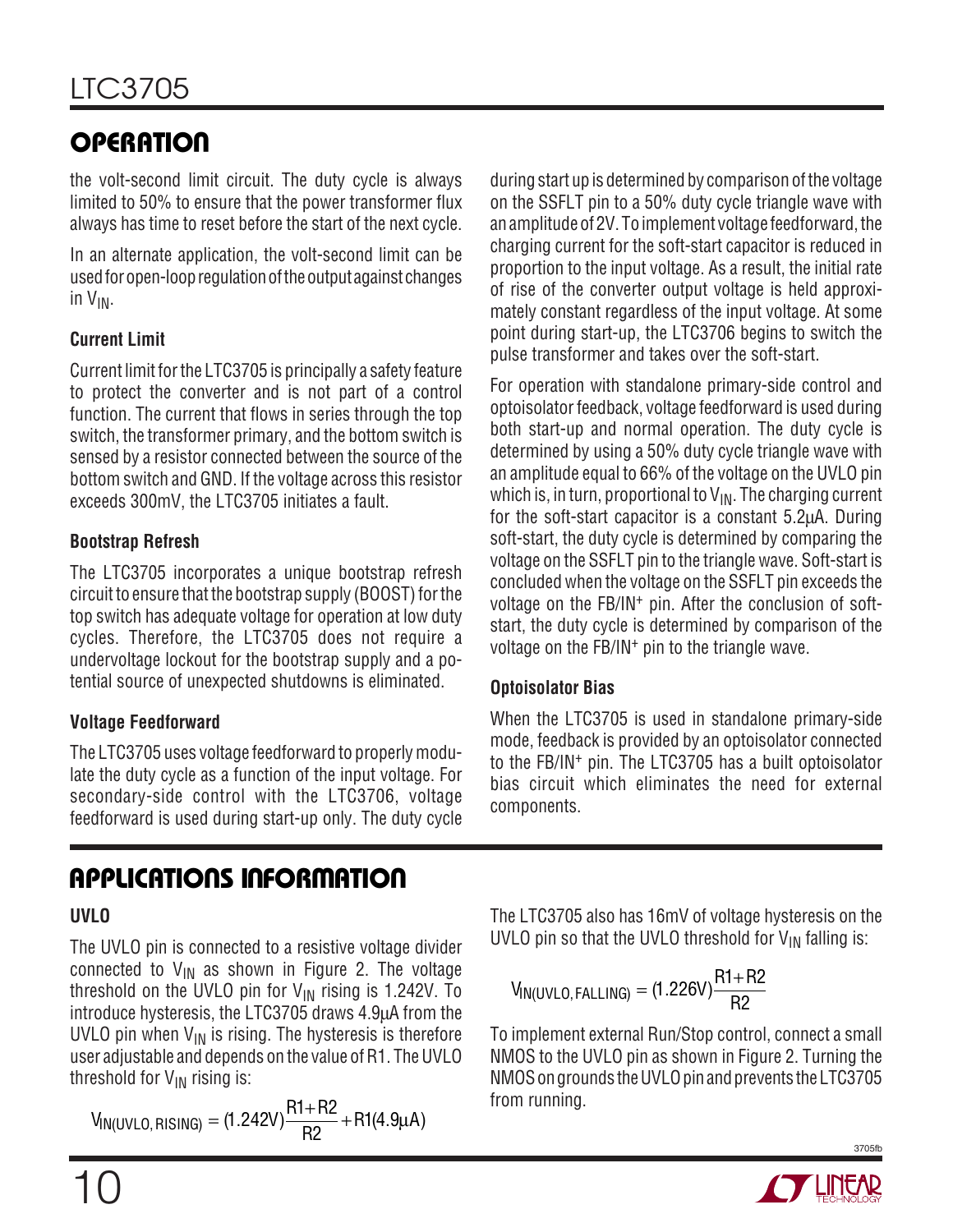# **OPERATION**

the volt-second limit circuit. The duty cycle is always limited to 50% to ensure that the power transformer flux always has time to reset before the start of the next cycle.

In an alternate application, the volt-second limit can be used for open-loop regulation of the output against changes in VIN.

## **Current Limit**

Current limit for the LTC3705 is principally a safety feature to protect the converter and is not part of a control function. The current that flows in series through the top switch, the transformer primary, and the bottom switch is sensed by a resistor connected between the source of the bottom switch and GND. If the voltage across this resistor exceeds 300mV, the LTC3705 initiates a fault.

## **Bootstrap Refresh**

The LTC3705 incorporates a unique bootstrap refresh circuit to ensure that the bootstrap supply (BOOST) for the top switch has adequate voltage for operation at low duty cycles. Therefore, the LTC3705 does not require a undervoltage lockout for the bootstrap supply and a potential source of unexpected shutdowns is eliminated.

## **Voltage Feedforward**

The LTC3705 uses voltage feedforward to properly modulate the duty cycle as a function of the input voltage. For secondary-side control with the LTC3706, voltage feedforward is used during start-up only. The duty cycle

# **APPLICATIONS INFORMATION**

## **UVLO**

The UVLO pin is connected to a resistive voltage divider connected to  $V_{IN}$  as shown in Figure 2. The voltage threshold on the UVLO pin for  $V_{IN}$  rising is 1.242V. To introduce hysteresis, the LTC3705 draws 4.9µA from the UVLO pin when  $V_{IN}$  is rising. The hysteresis is therefore user adjustable and depends on the value of R1. The UVLO threshold for  $V_{IN}$  rising is:

 $V_{\text{IN(UVLO, RISING)}} = (1.242V) \frac{\text{R1} + \text{R2}}{\text{R2}} + \text{R1}(4.9 \mu \text{A})$ 

during start up is determined by comparison of the voltage on the SSFLT pin to a 50% duty cycle triangle wave with an amplitude of 2V. To implement voltage feedforward, the charging current for the soft-start capacitor is reduced in proportion to the input voltage. As a result, the initial rate of rise of the converter output voltage is held approximately constant regardless of the input voltage. At some point during start-up, the LTC3706 begins to switch the pulse transformer and takes over the soft-start.

For operation with standalone primary-side control and optoisolator feedback, voltage feedforward is used during both start-up and normal operation. The duty cycle is determined by using a 50% duty cycle triangle wave with an amplitude equal to 66% of the voltage on the UVLO pin which is, in turn, proportional to  $V_{IN}$ . The charging current for the soft-start capacitor is a constant 5.2µA. During soft-start, the duty cycle is determined by comparing the voltage on the SSFLT pin to the triangle wave. Soft-start is concluded when the voltage on the SSFLT pin exceeds the voltage on the FB/IN<sup>+</sup> pin. After the conclusion of softstart, the duty cycle is determined by comparison of the voltage on the FB/IN+ pin to the triangle wave.

## **Optoisolator Bias**

When the LTC3705 is used in standalone primary-side mode, feedback is provided by an optoisolator connected to the FB/IN+ pin. The LTC3705 has a built optoisolator bias circuit which eliminates the need for external components.

The LTC3705 also has 16mV of voltage hysteresis on the UVLO pin so that the UVLO threshold for  $V_{IN}$  falling is:

$$
V_{IN(UVLO, FALLING)} = (1.226V) \frac{R1 + R2}{R2}
$$

To implement external Run/Stop control, connect a small NMOS to the UVLO pin as shown in Figure 2. Turning the NMOS on grounds the UVLO pin and prevents the LTC3705 from running.

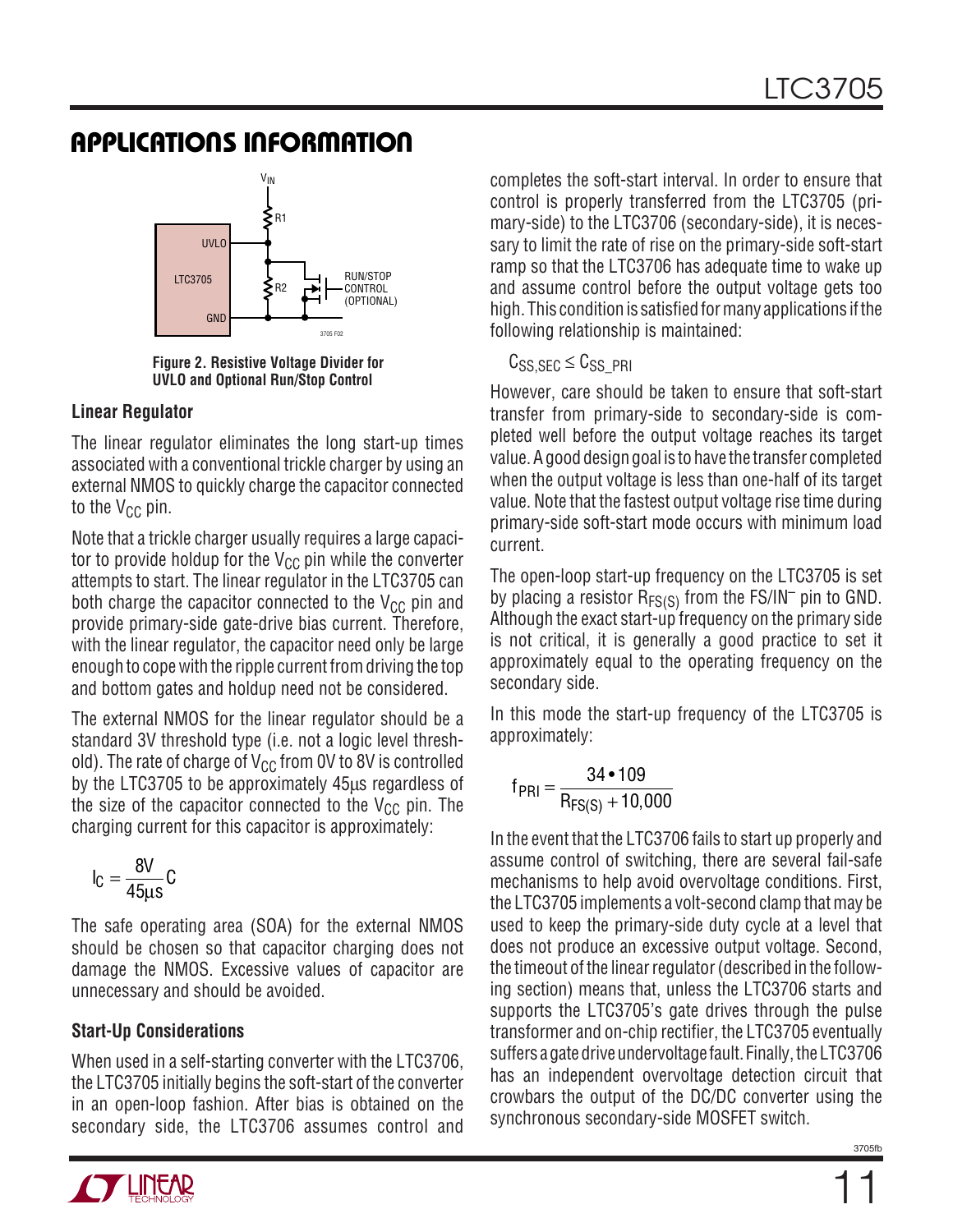

**Figure 2. Resistive Voltage Divider for UVLO and Optional Run/Stop Control**

#### **Linear Regulator**

The linear regulator eliminates the long start-up times associated with a conventional trickle charger by using an external NMOS to quickly charge the capacitor connected to the  $V_{CC}$  pin.

Note that a trickle charger usually requires a large capacitor to provide holdup for the  $V_{CC}$  pin while the converter attempts to start. The linear regulator in the LTC3705 can both charge the capacitor connected to the  $V_{CC}$  pin and provide primary-side gate-drive bias current. Therefore, with the linear regulator, the capacitor need only be large enough to cope with the ripple current from driving the top and bottom gates and holdup need not be considered.

The external NMOS for the linear regulator should be a standard 3V threshold type (i.e. not a logic level threshold). The rate of charge of  $V_{CC}$  from 0V to 8V is controlled by the LTC3705 to be approximately 45µs regardless of the size of the capacitor connected to the  $V_{CC}$  pin. The charging current for this capacitor is approximately:

$$
I_C = \frac{8V}{45\mu s}C
$$

The safe operating area (SOA) for the external NMOS should be chosen so that capacitor charging does not damage the NMOS. Excessive values of capacitor are unnecessary and should be avoided.

#### **Start-Up Considerations**

When used in a self-starting converter with the LTC3706, the LTC3705 initially begins the soft-start of the converter in an open-loop fashion. After bias is obtained on the secondary side, the LTC3706 assumes control and



completes the soft-start interval. In order to ensure that control is properly transferred from the LTC3705 (primary-side) to the LTC3706 (secondary-side), it is necessary to limit the rate of rise on the primary-side soft-start ramp so that the LTC3706 has adequate time to wake up and assume control before the output voltage gets too high. This condition is satisfied for many applications if the following relationship is maintained:

#### $C_{SS,SEC} \leq C_{SS, PRI}$

However, care should be taken to ensure that soft-start transfer from primary-side to secondary-side is completed well before the output voltage reaches its target value. A good design goal is to have the transfer completed when the output voltage is less than one-half of its target value. Note that the fastest output voltage rise time during primary-side soft-start mode occurs with minimum load current.

The open-loop start-up frequency on the LTC3705 is set by placing a resistor  $R_{FS(S)}$  from the FS/IN<sup>-</sup> pin to GND. Although the exact start-up frequency on the primary side is not critical, it is generally a good practice to set it approximately equal to the operating frequency on the secondary side.

In this mode the start-up frequency of the LTC3705 is approximately:

$$
f_{\text{PRI}} = \frac{34 \cdot 109}{R_{\text{FS(S)}} + 10,000}
$$

In the event that the LTC3706 fails to start up properly and assume control of switching, there are several fail-safe mechanisms to help avoid overvoltage conditions. First, the LTC3705 implements a volt-second clamp that may be used to keep the primary-side duty cycle at a level that does not produce an excessive output voltage. Second, the timeout of the linear regulator (described in the following section) means that, unless the LTC3706 starts and supports the LTC3705's gate drives through the pulse transformer and on-chip rectifier, the LTC3705 eventually suffers a gate drive undervoltage fault. Finally, the LTC3706 has an independent overvoltage detection circuit that crowbars the output of the DC/DC converter using the synchronous secondary-side MOSFET switch.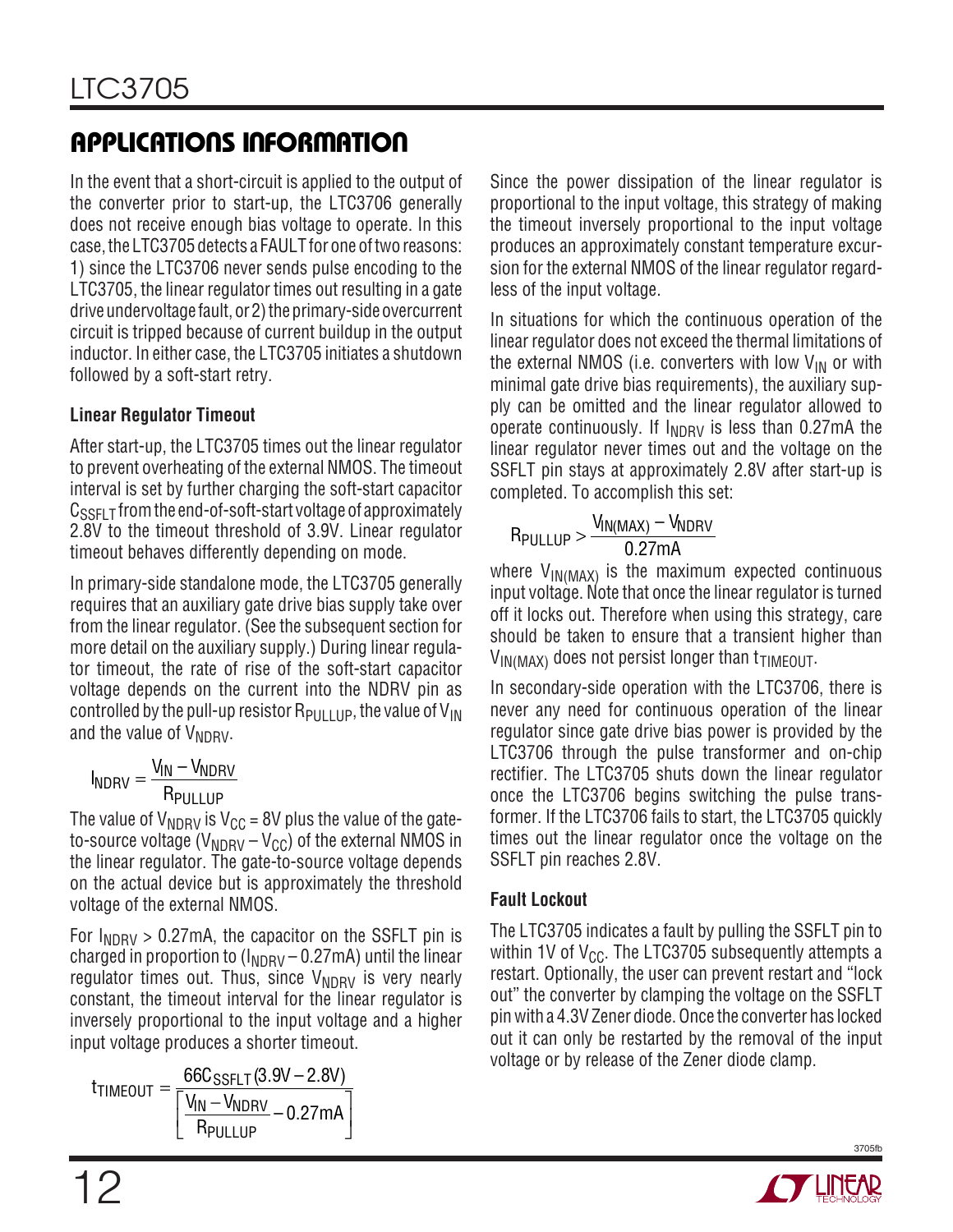In the event that a short-circuit is applied to the output of the converter prior to start-up, the LTC3706 generally does not receive enough bias voltage to operate. In this case, the LTC3705 detects a FAULT for one of two reasons: 1) since the LTC3706 never sends pulse encoding to the LTC3705, the linear regulator times out resulting in a gate drive undervoltage fault, or 2) the primary-side overcurrent circuit is tripped because of current buildup in the output inductor. In either case, the LTC3705 initiates a shutdown followed by a soft-start retry.

## **Linear Regulator Timeout**

After start-up, the LTC3705 times out the linear regulator to prevent overheating of the external NMOS. The timeout interval is set by further charging the soft-start capacitor  $C_{\text{SSEL}}$   $\tau$  from the end-of-soft-start voltage of approximately 2.8V to the timeout threshold of 3.9V. Linear regulator timeout behaves differently depending on mode.

In primary-side standalone mode, the LTC3705 generally requires that an auxiliary gate drive bias supply take over from the linear regulator. (See the subsequent section for more detail on the auxiliary supply.) During linear regulator timeout, the rate of rise of the soft-start capacitor voltage depends on the current into the NDRV pin as controlled by the pull-up resistor  $R_{PIH+IP}$ , the value of  $V_{IN}$ and the value of  $V_{NDRV}$ .

$$
I_{NDRV} = \frac{V_{IN} - V_{NDRV}}{R_{PULLUP}}
$$

The value of  $V_{NDRV}$  is  $V_{CC}$  = 8V plus the value of the gateto-source voltage ( $V_{NDRV} - V_{CC}$ ) of the external NMOS in the linear regulator. The gate-to-source voltage depends on the actual device but is approximately the threshold voltage of the external NMOS.

For  $I_{NDRV} > 0.27$  mA, the capacitor on the SSFLT pin is charged in proportion to  $(I_{NDRV} - 0.27mA)$  until the linear regulator times out. Thus, since  $V_{NDRV}$  is very nearly constant, the timeout interval for the linear regulator is inversely proportional to the input voltage and a higher input voltage produces a shorter timeout.

 $t_{\footnotesize{\textsf{TIMEOUT}}} = \frac{66 \textsf{C}_{\footnotesize{\textsf{SSFLT}}}}{5 M_{\footnotesize{\textsf{N\_V}}}} (3.9 \textsf{V} - 2.8 \textsf{V})$  $V_{\sf IN} - V_{\sf I}$ R mA TIMEOUT 66C<sub>SSFLT</sub> (3.9V – 2.8V) 'IN <sup>—</sup> YNDRV PULLUP  $=\frac{1}{\sqrt{N}}$  $\left\lfloor \frac{\mathsf{V_{IN}}-\mathsf{V_{NDRV}}}{\mathsf{R_{PULLUP}}}-0.27 \text{mA} \right\rfloor$  Since the power dissipation of the linear regulator is proportional to the input voltage, this strategy of making the timeout inversely proportional to the input voltage produces an approximately constant temperature excursion for the external NMOS of the linear regulator regardless of the input voltage.

In situations for which the continuous operation of the linear regulator does not exceed the thermal limitations of the external NMOS (i.e. converters with low  $V_{IN}$  or with minimal gate drive bias requirements), the auxiliary supply can be omitted and the linear regulator allowed to operate continuously. If  $I_{NDRV}$  is less than 0.27mA the linear regulator never times out and the voltage on the SSFLT pin stays at approximately 2.8V after start-up is completed. To accomplish this set:

$$
R_{\text{PULLUP}} > \frac{V_{\text{IN(MAX)}} - V_{\text{NDRV}}}{0.27 \text{mA}}
$$

where  $V_{IN(MAX)}$  is the maximum expected continuous input voltage. Note that once the linear regulator is turned off it locks out. Therefore when using this strategy, care should be taken to ensure that a transient higher than  $V_{IN(MAX)}$  does not persist longer than  $t_{TIMEOUT}$ .

In secondary-side operation with the LTC3706, there is never any need for continuous operation of the linear regulator since gate drive bias power is provided by the LTC3706 through the pulse transformer and on-chip rectifier. The LTC3705 shuts down the linear regulator once the LTC3706 begins switching the pulse transformer. If the LTC3706 fails to start, the LTC3705 quickly times out the linear regulator once the voltage on the SSFLT pin reaches 2.8V.

## **Fault Lockout**

The LTC3705 indicates a fault by pulling the SSFLT pin to within 1V of  $V_{CC}$ . The LTC3705 subsequently attempts a restart. Optionally, the user can prevent restart and "lock out" the converter by clamping the voltage on the SSFLT pin with a 4.3V Zener diode. Once the converter has locked out it can only be restarted by the removal of the input voltage or by release of the Zener diode clamp.

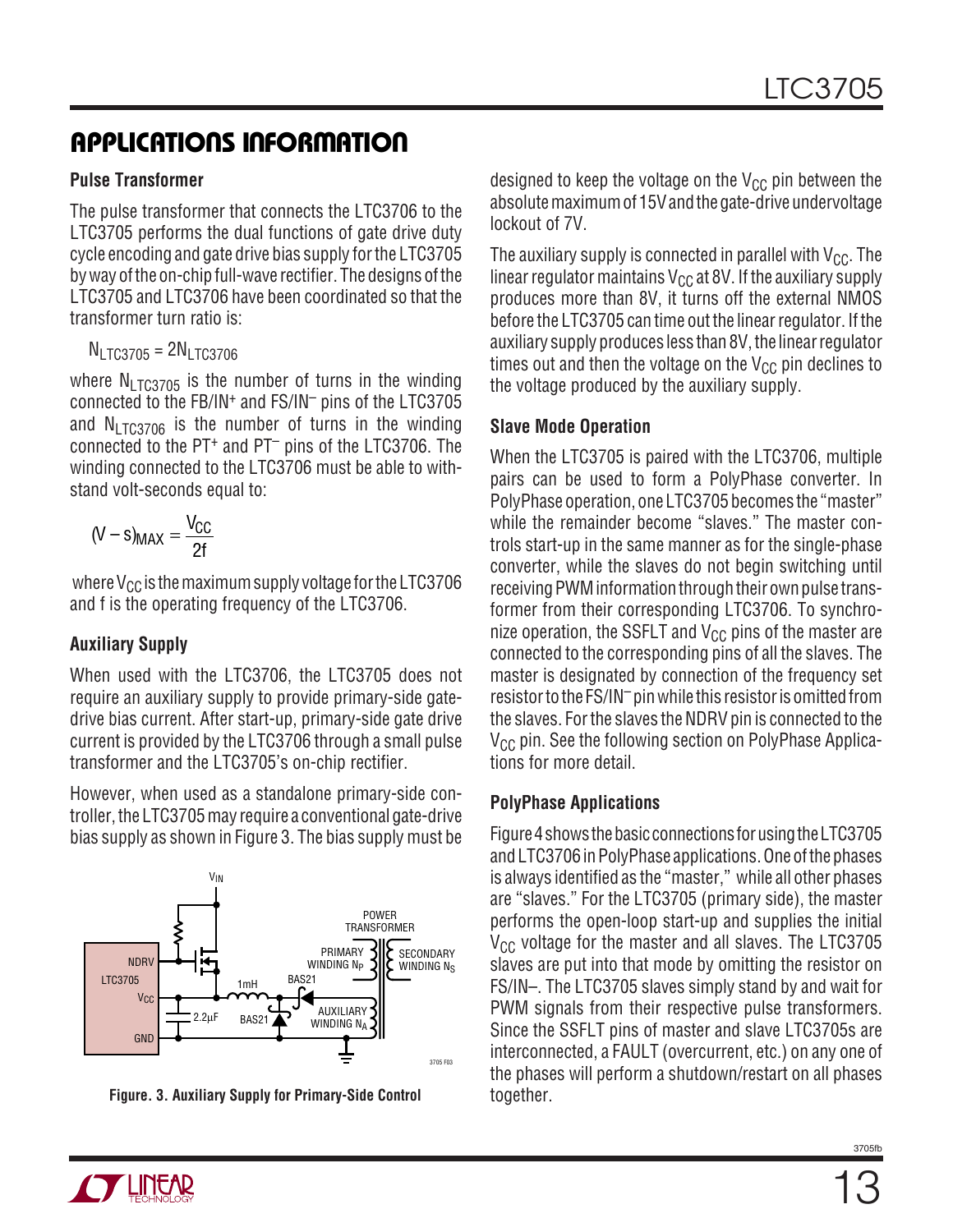#### **Pulse Transformer**

The pulse transformer that connects the LTC3706 to the LTC3705 performs the dual functions of gate drive duty cycle encoding and gate drive bias supply for the LTC3705 by way of the on-chip full-wave rectifier. The designs of the LTC3705 and LTC3706 have been coordinated so that the transformer turn ratio is:

 $N_{LTC3705} = 2N_{LTC3706}$ 

where  $N_1$ <sub>TC3705</sub> is the number of turns in the winding connected to the FB/IN+ and FS/IN– pins of the LTC3705 and  $N_1$ <sub>TC3706</sub> is the number of turns in the winding connected to the PT<sup>+</sup> and PT<sup>-</sup> pins of the LTC3706. The winding connected to the LTC3706 must be able to withstand volt-seconds equal to:

$$
(V - s)_{MAX} = \frac{V_{CC}}{2f}
$$

where  $V_{CC}$  is the maximum supply voltage for the LTC3706 and f is the operating frequency of the LTC3706.

## **Auxiliary Supply**

When used with the LTC3706, the LTC3705 does not require an auxiliary supply to provide primary-side gatedrive bias current. After start-up, primary-side gate drive current is provided by the LTC3706 through a small pulse transformer and the LTC3705's on-chip rectifier.

However, when used as a standalone primary-side controller, the LTC3705 may require a conventional gate-drive bias supply as shown in Figure 3. The bias supply must be



**Figure. 3. Auxiliary Supply for Primary-Side Control**

designed to keep the voltage on the  $V_{CC}$  pin between the absolute maximum of 15V and the gate-drive undervoltage lockout of 7V.

The auxiliary supply is connected in parallel with  $V_{CC}$ . The linear regulator maintains  $V_{CC}$  at 8V. If the auxiliary supply produces more than 8V, it turns off the external NMOS before the LTC3705 can time out the linear regulator. If the auxiliary supply produces less than 8V, the linear regulator times out and then the voltage on the  $V_{CC}$  pin declines to the voltage produced by the auxiliary supply.

#### **Slave Mode Operation**

When the LTC3705 is paired with the LTC3706, multiple pairs can be used to form a PolyPhase converter. In PolyPhase operation, one LTC3705 becomes the "master" while the remainder become "slaves." The master controls start-up in the same manner as for the single-phase converter, while the slaves do not begin switching until receiving PWM information through their own pulse transformer from their corresponding LTC3706. To synchronize operation, the SSFLT and  $V_{CC}$  pins of the master are connected to the corresponding pins of all the slaves. The master is designated by connection of the frequency set resistor to the FS/IN– pin while this resistor is omitted from the slaves. For the slaves the NDRV pin is connected to the  $V_{CC}$  pin. See the following section on PolyPhase Applications for more detail.

#### **PolyPhase Applications**

Figure 4 shows the basic connections for using the LTC3705 and LTC3706 in PolyPhase applications. One of the phases is always identified as the "master," while all other phases are "slaves." For the LTC3705 (primary side), the master performs the open-loop start-up and supplies the initial  $V_{CC}$  voltage for the master and all slaves. The LTC3705 slaves are put into that mode by omitting the resistor on FS/IN–. The LTC3705 slaves simply stand by and wait for PWM signals from their respective pulse transformers. Since the SSFLT pins of master and slave LTC3705s are interconnected, a FAULT (overcurrent, etc.) on any one of the phases will perform a shutdown/restart on all phases together.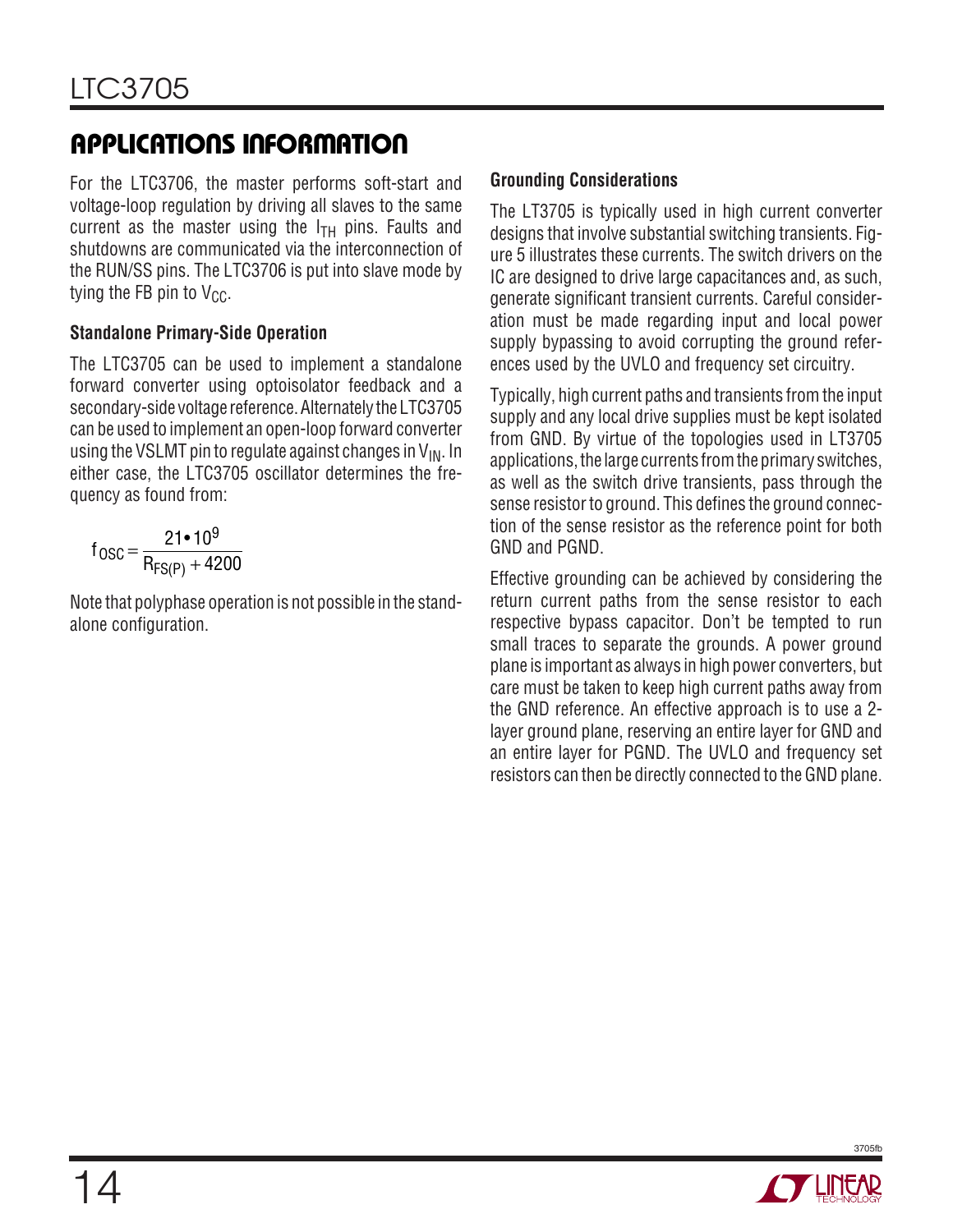For the LTC3706, the master performs soft-start and voltage-loop regulation by driving all slaves to the same current as the master using the  $I<sub>TH</sub>$  pins. Faults and shutdowns are communicated via the interconnection of the RUN/SS pins. The LTC3706 is put into slave mode by tying the FB pin to  $V_{CC}$ .

### **Standalone Primary-Side Operation**

The LTC3705 can be used to implement a standalone forward converter using optoisolator feedback and a secondary-side voltage reference. Alternately the LTC3705 can be used to implement an open-loop forward converter using the VSLMT pin to regulate against changes in  $V_{IN}$ . In either case, the LTC3705 oscillator determines the frequency as found from:

$$
f_{OSC} = \frac{21 \cdot 10^9}{R_{FS(P)} + 4200}
$$

Note that polyphase operation is not possible in the standalone configuration.

## **Grounding Considerations**

The LT3705 is typically used in high current converter designs that involve substantial switching transients. Figure 5 illustrates these currents. The switch drivers on the IC are designed to drive large capacitances and, as such, generate significant transient currents. Careful consideration must be made regarding input and local power supply bypassing to avoid corrupting the ground references used by the UVLO and frequency set circuitry.

Typically, high current paths and transients from the input supply and any local drive supplies must be kept isolated from GND. By virtue of the topologies used in LT3705 applications, the large currents from the primary switches, as well as the switch drive transients, pass through the sense resistor to ground. This defines the ground connection of the sense resistor as the reference point for both GND and PGND.

Effective grounding can be achieved by considering the return current paths from the sense resistor to each respective bypass capacitor. Don't be tempted to run small traces to separate the grounds. A power ground plane is important as always in high power converters, but care must be taken to keep high current paths away from the GND reference. An effective approach is to use a 2 layer ground plane, reserving an entire layer for GND and an entire layer for PGND. The UVLO and frequency set resistors can then be directly connected to the GND plane.

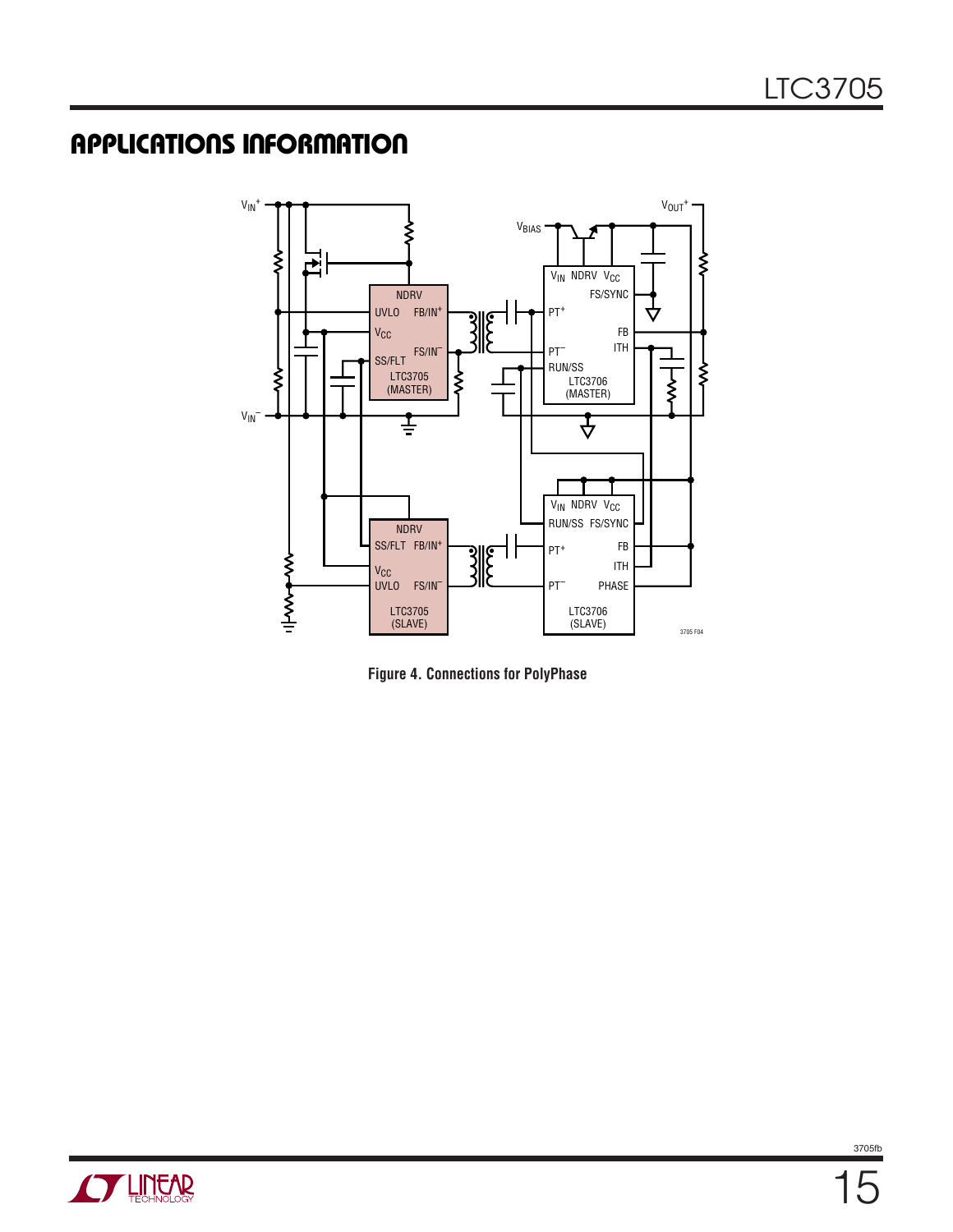

**Figure 4. Connections for PolyPhase**

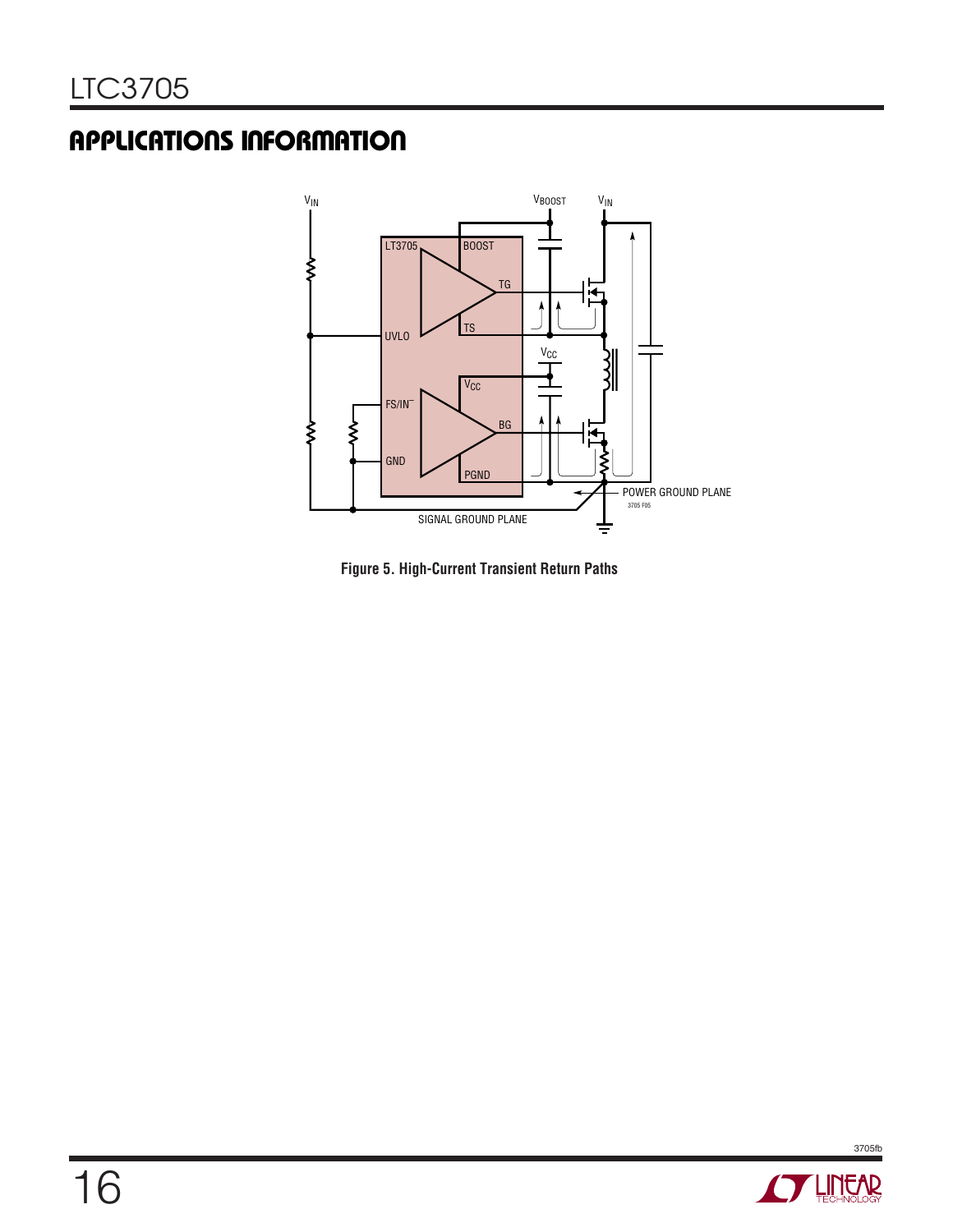

**Figure 5. High-Current Transient Return Paths**

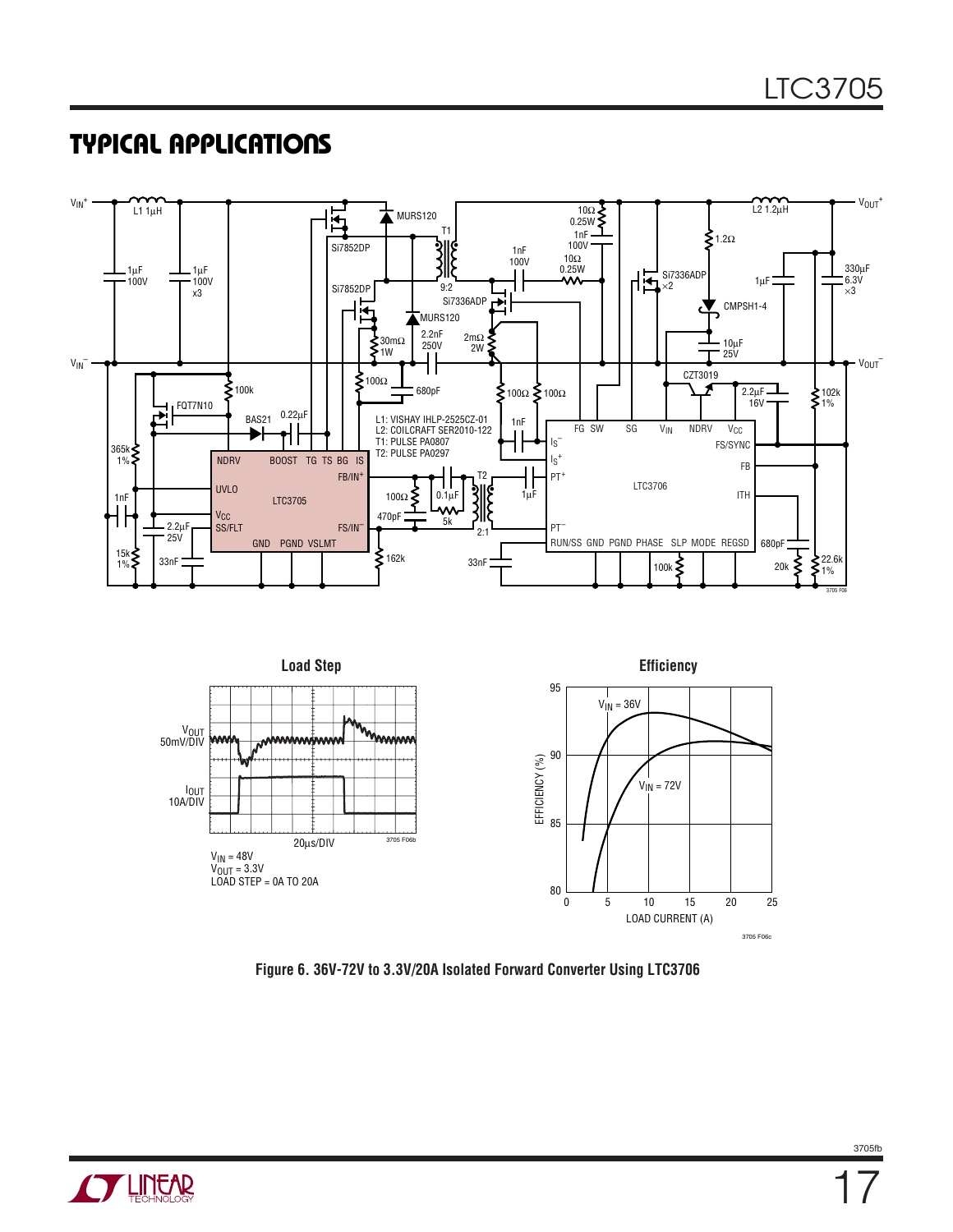## **TYPICAL APPLICATIONS**





**Figure 6. 36V-72V to 3.3V/20A Isolated Forward Converter Using LTC3706**

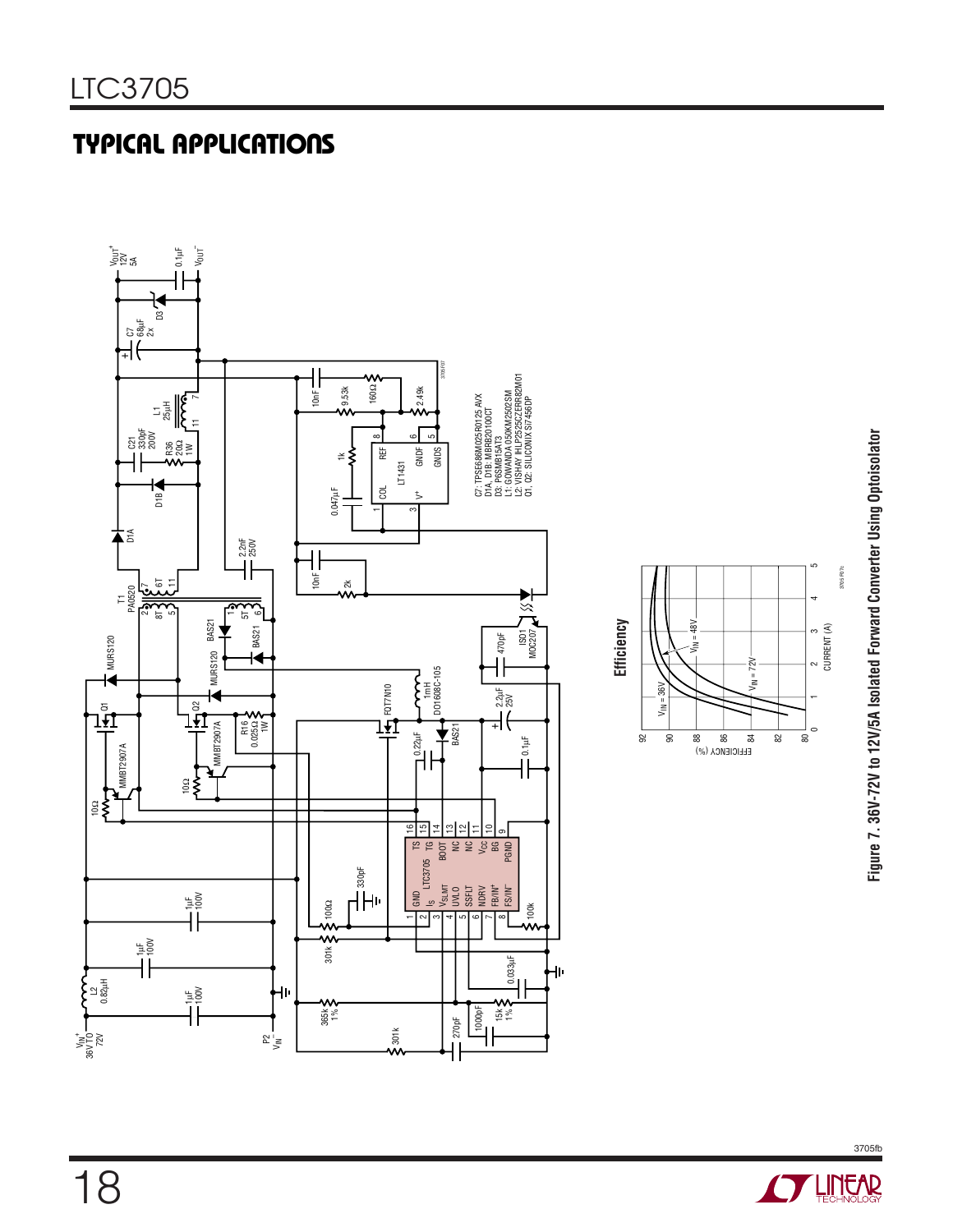# **TYPICAL APPLICATIONS**



Figure 7. 36V-72V to 12V/5A Isolated Forward Converter Using Optoisolator **Figure 7. 36V-72V to 12V/5A Isolated Forward Converter Using Optoisolator**

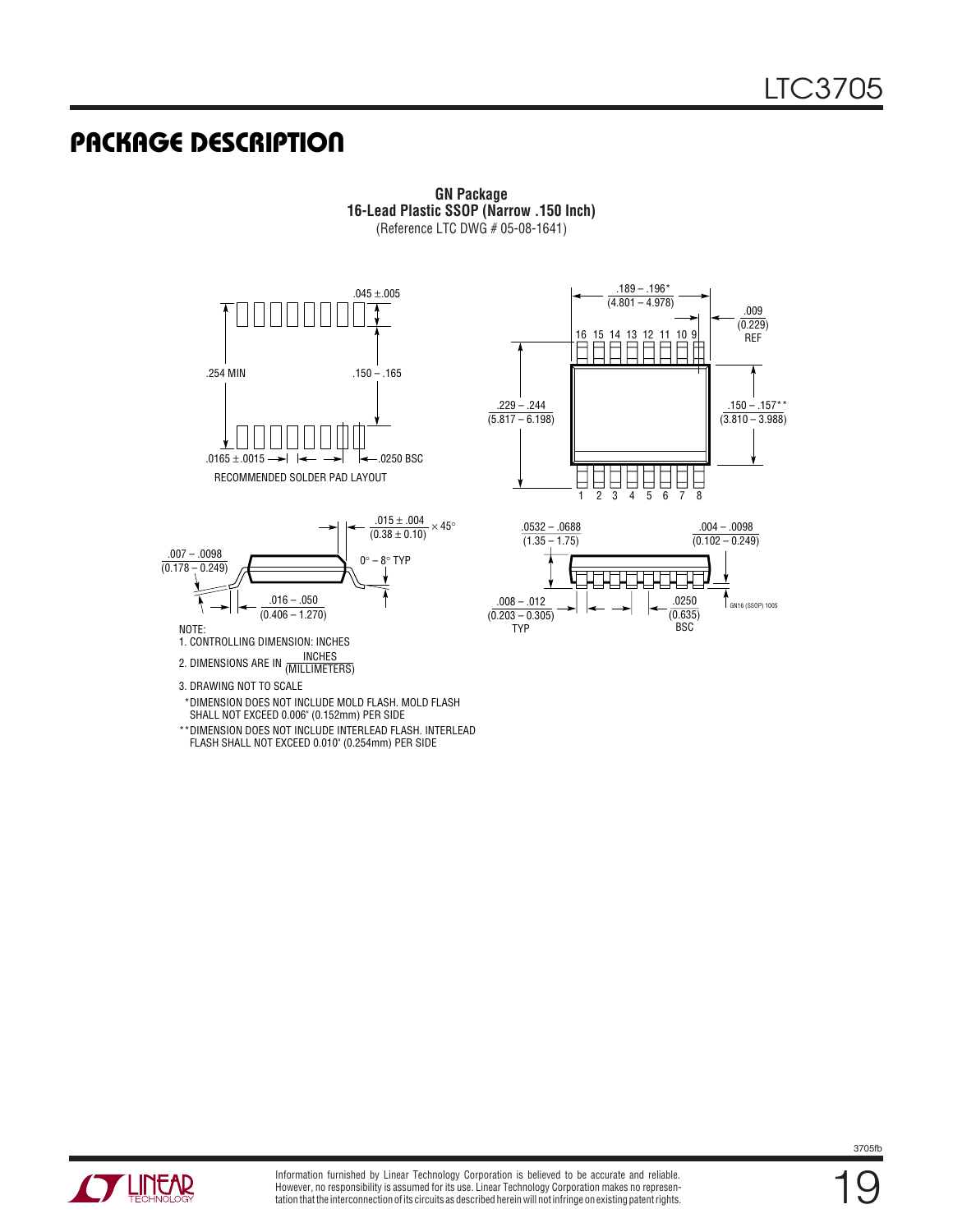## **PACKAGE DESCRIPTION**









NOTE:

1. CONTROLLING DIMENSION: INCHES

INCHES 2. DIMENSIONS ARE IN (MILLIMETERS)

- 3. DRAWING NOT TO SCALE
- \*DIMENSION DOES NOT INCLUDE MOLD FLASH. MOLD FLASH SHALL NOT EXCEED 0.006" (0.152mm) PER SIDE
- \*\*DIMENSION DOES NOT INCLUDE INTERLEAD FLASH. INTERLEAD FLASH SHALL NOT EXCEED 0.010" (0.254mm) PER SIDE



**GN Package 16-Lead Plastic SSOP (Narrow .150 Inch)** (Reference LTC DWG # 05-08-1641)